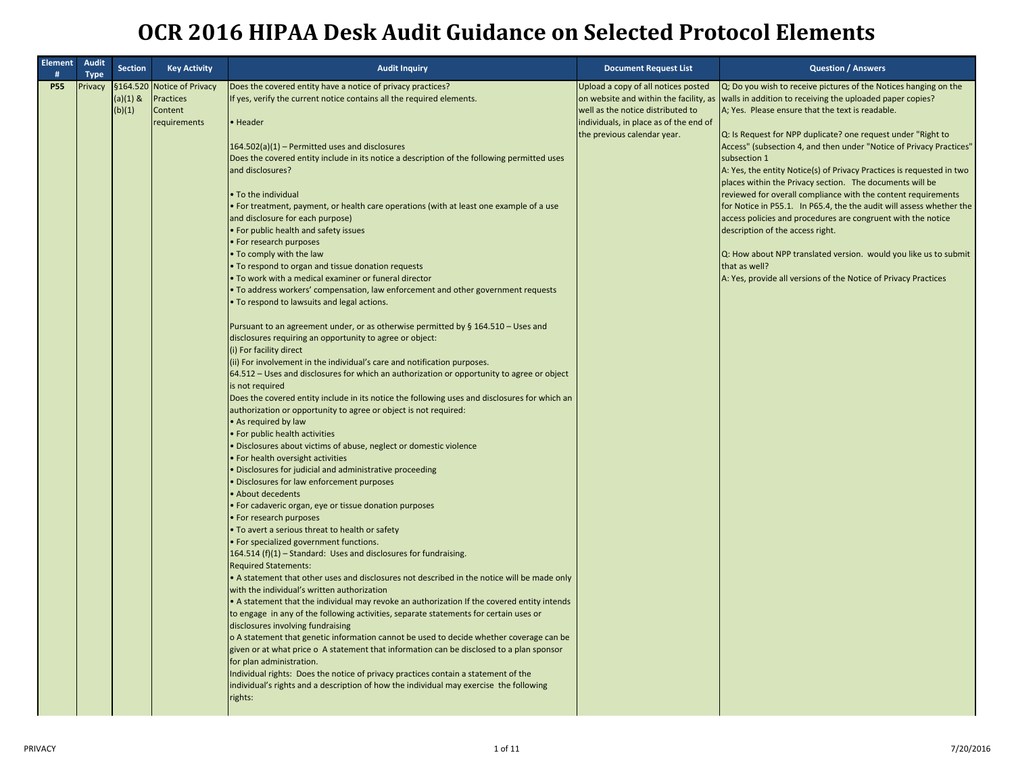| <b>Element</b><br># | <b>Audit</b><br><b>Type</b> | <b>Section</b>       | <b>Key Activity</b>                                                       | <b>Audit Inquiry</b>                                                                                                                                                                                                                                                                                                                                                                                                                                                                                                                                                                                                                                                                                                                                                                                                                                                                                                                                                                                                                                                                                                                                                                                                                                                                                                                                                                                                                                                                                                                                                                                                                                                                                                                                                                                                                                                                                                                                                                                                                                                                                                                                                                                                                                                                                                                                                                                                                                                                                                                                                                                                                                                                                                                            | <b>Document Request List</b>                                                                                                                                                                | <b>Question / Answers</b>                                                                                                                                                                                                                                                                                                                                                                                                                                                                                                                                                                                                                                                                                                                                                                                                                                                          |
|---------------------|-----------------------------|----------------------|---------------------------------------------------------------------------|-------------------------------------------------------------------------------------------------------------------------------------------------------------------------------------------------------------------------------------------------------------------------------------------------------------------------------------------------------------------------------------------------------------------------------------------------------------------------------------------------------------------------------------------------------------------------------------------------------------------------------------------------------------------------------------------------------------------------------------------------------------------------------------------------------------------------------------------------------------------------------------------------------------------------------------------------------------------------------------------------------------------------------------------------------------------------------------------------------------------------------------------------------------------------------------------------------------------------------------------------------------------------------------------------------------------------------------------------------------------------------------------------------------------------------------------------------------------------------------------------------------------------------------------------------------------------------------------------------------------------------------------------------------------------------------------------------------------------------------------------------------------------------------------------------------------------------------------------------------------------------------------------------------------------------------------------------------------------------------------------------------------------------------------------------------------------------------------------------------------------------------------------------------------------------------------------------------------------------------------------------------------------------------------------------------------------------------------------------------------------------------------------------------------------------------------------------------------------------------------------------------------------------------------------------------------------------------------------------------------------------------------------------------------------------------------------------------------------------------------------|---------------------------------------------------------------------------------------------------------------------------------------------------------------------------------------------|------------------------------------------------------------------------------------------------------------------------------------------------------------------------------------------------------------------------------------------------------------------------------------------------------------------------------------------------------------------------------------------------------------------------------------------------------------------------------------------------------------------------------------------------------------------------------------------------------------------------------------------------------------------------------------------------------------------------------------------------------------------------------------------------------------------------------------------------------------------------------------|
| <b>P55</b>          | Privacy                     | $(a)(1)$ &<br>(b)(1) | §164.520 Notice of Privacy<br><b>Practices</b><br>Content<br>requirements | Does the covered entity have a notice of privacy practices?<br>If yes, verify the current notice contains all the required elements.<br>Header<br>164.502(a)(1) - Permitted uses and disclosures<br>Does the covered entity include in its notice a description of the following permitted uses<br>and disclosures?<br>. To the individual<br>• For treatment, payment, or health care operations (with at least one example of a use<br>and disclosure for each purpose)<br>• For public health and safety issues<br>• For research purposes<br>. To comply with the law<br>. To respond to organ and tissue donation requests<br>. To work with a medical examiner or funeral director<br>. To address workers' compensation, law enforcement and other government requests<br>To respond to lawsuits and legal actions.<br>Pursuant to an agreement under, or as otherwise permitted by § 164.510 - Uses and<br>disclosures requiring an opportunity to agree or object:<br>(i) For facility direct<br>(ii) For involvement in the individual's care and notification purposes.<br>64.512 – Uses and disclosures for which an authorization or opportunity to agree or object<br>is not required<br>Does the covered entity include in its notice the following uses and disclosures for which an<br>authorization or opportunity to agree or object is not required:<br>• As required by law<br>For public health activities<br>Disclosures about victims of abuse, neglect or domestic violence<br>For health oversight activities<br>Disclosures for judicial and administrative proceeding<br>Disclosures for law enforcement purposes<br>• About decedents<br>For cadaveric organ, eye or tissue donation purposes<br>• For research purposes<br>. To avert a serious threat to health or safety<br>· For specialized government functions.<br>164.514 (f)(1) - Standard: Uses and disclosures for fundraising.<br><b>Required Statements:</b><br>. A statement that other uses and disclosures not described in the notice will be made only<br>with the individual's written authorization<br>. A statement that the individual may revoke an authorization If the covered entity intends<br>to engage in any of the following activities, separate statements for certain uses or<br>disclosures involving fundraising<br>o A statement that genetic information cannot be used to decide whether coverage can be<br>given or at what price o A statement that information can be disclosed to a plan sponsor<br>for plan administration.<br>Individual rights: Does the notice of privacy practices contain a statement of the<br>individual's rights and a description of how the individual may exercise the following<br>rights: | Upload a copy of all notices posted<br>on website and within the facility, as<br>well as the notice distributed to<br>individuals, in place as of the end of<br>the previous calendar year. | Q; Do you wish to receive pictures of the Notices hanging on the<br>walls in addition to receiving the uploaded paper copies?<br>A; Yes. Please ensure that the text is readable.<br>Q: Is Request for NPP duplicate? one request under "Right to<br>Access" (subsection 4, and then under "Notice of Privacy Practices"<br>subsection 1<br>A: Yes, the entity Notice(s) of Privacy Practices is requested in two<br>places within the Privacy section. The documents will be<br>reviewed for overall compliance with the content requirements<br>for Notice in P55.1. In P65.4, the the audit will assess whether the<br>access policies and procedures are congruent with the notice<br>description of the access right.<br>Q: How about NPP translated version. would you like us to submit<br>that as well?<br>A: Yes, provide all versions of the Notice of Privacy Practices |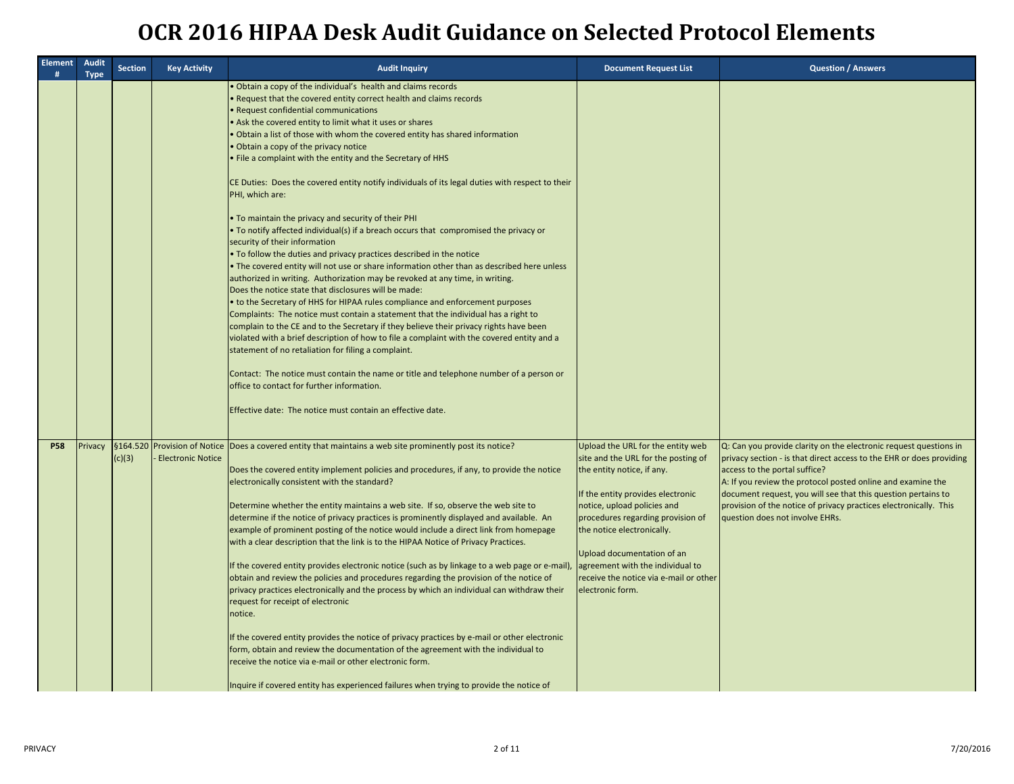| <b>Element</b><br>Ħ | Audit<br><b>Type</b> | <b>Section</b> | <b>Key Activity</b>      | <b>Audit Inquiry</b>                                                                                                                                                                                                                                                                                                                                                                                                                                                                                                                                                                                                                                                                                                                                                                                                                                                                                                                                                                                                                                                                                                                                                                                                                                                                                                                                                                                                                                                                                                                                                                                                                                                               | <b>Document Request List</b>                                                                                                                                                                                                                                                                                                                                                  | <b>Question / Answers</b>                                                                                                                                                                                                                                                                                                                                                                                          |
|---------------------|----------------------|----------------|--------------------------|------------------------------------------------------------------------------------------------------------------------------------------------------------------------------------------------------------------------------------------------------------------------------------------------------------------------------------------------------------------------------------------------------------------------------------------------------------------------------------------------------------------------------------------------------------------------------------------------------------------------------------------------------------------------------------------------------------------------------------------------------------------------------------------------------------------------------------------------------------------------------------------------------------------------------------------------------------------------------------------------------------------------------------------------------------------------------------------------------------------------------------------------------------------------------------------------------------------------------------------------------------------------------------------------------------------------------------------------------------------------------------------------------------------------------------------------------------------------------------------------------------------------------------------------------------------------------------------------------------------------------------------------------------------------------------|-------------------------------------------------------------------------------------------------------------------------------------------------------------------------------------------------------------------------------------------------------------------------------------------------------------------------------------------------------------------------------|--------------------------------------------------------------------------------------------------------------------------------------------------------------------------------------------------------------------------------------------------------------------------------------------------------------------------------------------------------------------------------------------------------------------|
|                     |                      |                |                          | . Obtain a copy of the individual's health and claims records<br>. Request that the covered entity correct health and claims records<br>• Request confidential communications<br>. Ask the covered entity to limit what it uses or shares<br>. Obtain a list of those with whom the covered entity has shared information<br>• Obtain a copy of the privacy notice<br>. File a complaint with the entity and the Secretary of HHS<br>CE Duties: Does the covered entity notify individuals of its legal duties with respect to their<br>PHI, which are:<br>. To maintain the privacy and security of their PHI<br>• To notify affected individual(s) if a breach occurs that compromised the privacy or<br>security of their information<br>. To follow the duties and privacy practices described in the notice<br>• The covered entity will not use or share information other than as described here unless<br>authorized in writing. Authorization may be revoked at any time, in writing.<br>Does the notice state that disclosures will be made:<br>• to the Secretary of HHS for HIPAA rules compliance and enforcement purposes<br>Complaints: The notice must contain a statement that the individual has a right to<br>complain to the CE and to the Secretary if they believe their privacy rights have been<br>violated with a brief description of how to file a complaint with the covered entity and a<br>statement of no retaliation for filing a complaint.<br>Contact: The notice must contain the name or title and telephone number of a person or<br>office to contact for further information.<br>Effective date: The notice must contain an effective date. |                                                                                                                                                                                                                                                                                                                                                                               |                                                                                                                                                                                                                                                                                                                                                                                                                    |
| <b>P58</b>          | Privacy              | (c)(3)         | <b>Electronic Notice</b> | §164.520 Provision of Notice Does a covered entity that maintains a web site prominently post its notice?<br>Does the covered entity implement policies and procedures, if any, to provide the notice<br>electronically consistent with the standard?<br>Determine whether the entity maintains a web site. If so, observe the web site to<br>determine if the notice of privacy practices is prominently displayed and available. An<br>example of prominent posting of the notice would include a direct link from homepage<br>with a clear description that the link is to the HIPAA Notice of Privacy Practices.<br>If the covered entity provides electronic notice (such as by linkage to a web page or e-mail),<br>obtain and review the policies and procedures regarding the provision of the notice of<br>privacy practices electronically and the process by which an individual can withdraw their<br>request for receipt of electronic<br>notice.<br>If the covered entity provides the notice of privacy practices by e-mail or other electronic<br>form, obtain and review the documentation of the agreement with the individual to<br>receive the notice via e-mail or other electronic form.<br>Inquire if covered entity has experienced failures when trying to provide the notice of                                                                                                                                                                                                                                                                                                                                                                          | Upload the URL for the entity web<br>site and the URL for the posting of<br>the entity notice, if any.<br>If the entity provides electronic<br>notice, upload policies and<br>procedures regarding provision of<br>the notice electronically.<br>Upload documentation of an<br>agreement with the individual to<br>receive the notice via e-mail or other<br>electronic form. | Q: Can you provide clarity on the electronic request questions in<br>privacy section - is that direct access to the EHR or does providing<br>access to the portal suffice?<br>A: If you review the protocol posted online and examine the<br>document request, you will see that this question pertains to<br>provision of the notice of privacy practices electronically. This<br>question does not involve EHRs. |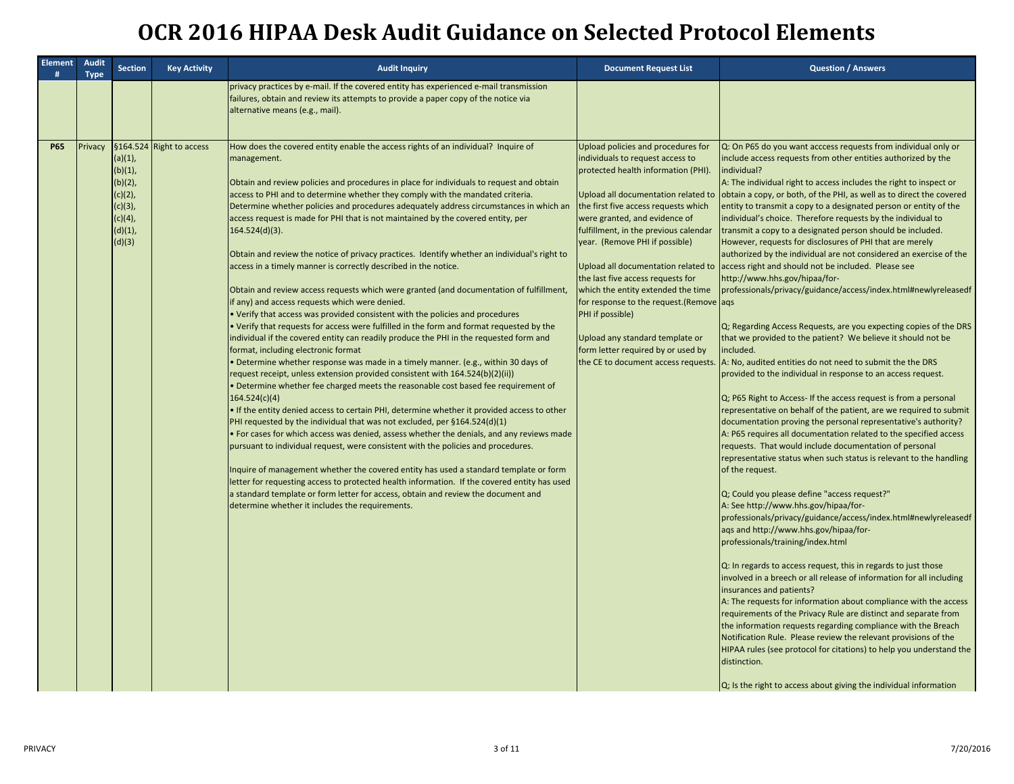| <b>Element</b><br># | Audit<br><b>Type</b> | <b>Section</b>                                                                                  | <b>Key Activity</b>    | <b>Audit Inquiry</b>                                                                                                                                                                                                                                                                                                                                                                                                                                                                                                                                                                                                                                                                                                                                                                                                                                                                                                                                                                                                                                                                                                                                                                                                                                                                                                                                                                                                                                                                                                                                                                                                                                                                                                                                                                                                                                                                                                                                                                                                                                                                     | <b>Document Request List</b>                                                                                                                                                                                                                                                                                                                                                                                                                                                                                                                                        | <b>Question / Answers</b>                                                                                                                                                                                                                                                                                                                                                                                                                                                                                                                                                                                                                                                                                                                                                                                                                                                                                                                                                                                                                                                                                                                                                                                                                                                                                                                                                                                                                                                                                                                                                                                                                                                                                                                                                                                                                                                                                                                                                                                                                                                                                                                                                                                                                                                                                                                                                                                         |
|---------------------|----------------------|-------------------------------------------------------------------------------------------------|------------------------|------------------------------------------------------------------------------------------------------------------------------------------------------------------------------------------------------------------------------------------------------------------------------------------------------------------------------------------------------------------------------------------------------------------------------------------------------------------------------------------------------------------------------------------------------------------------------------------------------------------------------------------------------------------------------------------------------------------------------------------------------------------------------------------------------------------------------------------------------------------------------------------------------------------------------------------------------------------------------------------------------------------------------------------------------------------------------------------------------------------------------------------------------------------------------------------------------------------------------------------------------------------------------------------------------------------------------------------------------------------------------------------------------------------------------------------------------------------------------------------------------------------------------------------------------------------------------------------------------------------------------------------------------------------------------------------------------------------------------------------------------------------------------------------------------------------------------------------------------------------------------------------------------------------------------------------------------------------------------------------------------------------------------------------------------------------------------------------|---------------------------------------------------------------------------------------------------------------------------------------------------------------------------------------------------------------------------------------------------------------------------------------------------------------------------------------------------------------------------------------------------------------------------------------------------------------------------------------------------------------------------------------------------------------------|-------------------------------------------------------------------------------------------------------------------------------------------------------------------------------------------------------------------------------------------------------------------------------------------------------------------------------------------------------------------------------------------------------------------------------------------------------------------------------------------------------------------------------------------------------------------------------------------------------------------------------------------------------------------------------------------------------------------------------------------------------------------------------------------------------------------------------------------------------------------------------------------------------------------------------------------------------------------------------------------------------------------------------------------------------------------------------------------------------------------------------------------------------------------------------------------------------------------------------------------------------------------------------------------------------------------------------------------------------------------------------------------------------------------------------------------------------------------------------------------------------------------------------------------------------------------------------------------------------------------------------------------------------------------------------------------------------------------------------------------------------------------------------------------------------------------------------------------------------------------------------------------------------------------------------------------------------------------------------------------------------------------------------------------------------------------------------------------------------------------------------------------------------------------------------------------------------------------------------------------------------------------------------------------------------------------------------------------------------------------------------------------------------------------|
|                     |                      |                                                                                                 |                        | privacy practices by e-mail. If the covered entity has experienced e-mail transmission<br>failures, obtain and review its attempts to provide a paper copy of the notice via<br>alternative means (e.g., mail).                                                                                                                                                                                                                                                                                                                                                                                                                                                                                                                                                                                                                                                                                                                                                                                                                                                                                                                                                                                                                                                                                                                                                                                                                                                                                                                                                                                                                                                                                                                                                                                                                                                                                                                                                                                                                                                                          |                                                                                                                                                                                                                                                                                                                                                                                                                                                                                                                                                                     |                                                                                                                                                                                                                                                                                                                                                                                                                                                                                                                                                                                                                                                                                                                                                                                                                                                                                                                                                                                                                                                                                                                                                                                                                                                                                                                                                                                                                                                                                                                                                                                                                                                                                                                                                                                                                                                                                                                                                                                                                                                                                                                                                                                                                                                                                                                                                                                                                   |
| <b>P65</b>          | Privacy              | §164.524<br>(a)(1),<br>(b)(1),<br>(b)(2),<br>(c)(2),<br>(c)(3),<br>(c)(4),<br>(d)(1),<br>(d)(3) | <b>Right to access</b> | How does the covered entity enable the access rights of an individual? Inquire of<br>management.<br>Obtain and review policies and procedures in place for individuals to request and obtain<br>access to PHI and to determine whether they comply with the mandated criteria.<br>Determine whether policies and procedures adequately address circumstances in which an<br>access request is made for PHI that is not maintained by the covered entity, per<br>$164.524(d)(3)$ .<br>Obtain and review the notice of privacy practices. Identify whether an individual's right to<br>access in a timely manner is correctly described in the notice.<br>Obtain and review access requests which were granted (and documentation of fulfillment,<br>if any) and access requests which were denied.<br>. Verify that access was provided consistent with the policies and procedures<br>• Verify that requests for access were fulfilled in the form and format requested by the<br>individual if the covered entity can readily produce the PHI in the requested form and<br>format, including electronic format<br>Determine whether response was made in a timely manner. (e.g., within 30 days of<br>request receipt, unless extension provided consistent with 164.524(b)(2)(ii))<br>Determine whether fee charged meets the reasonable cost based fee requirement of<br>164.524(c)(4)<br>. If the entity denied access to certain PHI, determine whether it provided access to other<br>PHI requested by the individual that was not excluded, per §164.524(d)(1)<br>. For cases for which access was denied, assess whether the denials, and any reviews made<br>pursuant to individual request, were consistent with the policies and procedures.<br>Inquire of management whether the covered entity has used a standard template or form<br>letter for requesting access to protected health information. If the covered entity has used<br>a standard template or form letter for access, obtain and review the document and<br>determine whether it includes the requirements. | Upload policies and procedures for<br>individuals to request access to<br>protected health information (PHI).<br>Upload all documentation related to<br>the first five access requests which<br>were granted, and evidence of<br>fulfillment, in the previous calendar<br>year. (Remove PHI if possible)<br>the last five access requests for<br>which the entity extended the time<br>for response to the request. (Remove ags<br>PHI if possible)<br>Upload any standard template or<br>form letter required by or used by<br>the CE to document access requests. | Q: On P65 do you want acccess requests from individual only or<br>include access requests from other entities authorized by the<br>individual?<br>A: The individual right to access includes the right to inspect or<br>obtain a copy, or both, of the PHI, as well as to direct the covered<br>entity to transmit a copy to a designated person or entity of the<br>individual's choice. Therefore requests by the individual to<br>transmit a copy to a designated person should be included.<br>However, requests for disclosures of PHI that are merely<br>authorized by the individual are not considered an exercise of the<br>Upload all documentation related to access right and should not be included. Please see<br>http://www.hhs.gov/hipaa/for-<br>professionals/privacy/guidance/access/index.html#newlyreleasedf<br>Q; Regarding Access Requests, are you expecting copies of the DRS<br>that we provided to the patient? We believe it should not be<br>included.<br>A: No, audited entities do not need to submit the the DRS<br>provided to the individual in response to an access request.<br>Q; P65 Right to Access- If the access request is from a personal<br>representative on behalf of the patient, are we required to submit<br>documentation proving the personal representative's authority?<br>A: P65 requires all documentation related to the specified access<br>requests. That would include documentation of personal<br>representative status when such status is relevant to the handling<br>of the request.<br>Q; Could you please define "access request?"<br>A: See http://www.hhs.gov/hipaa/for-<br>professionals/privacy/guidance/access/index.html#newlyreleasedf<br>ags and http://www.hhs.gov/hipaa/for-<br>professionals/training/index.html<br>Q: In regards to access request, this in regards to just those<br>involved in a breech or all release of information for all including<br>insurances and patients?<br>A: The requests for information about compliance with the access<br>requirements of the Privacy Rule are distinct and separate from<br>the information requests regarding compliance with the Breach<br>Notification Rule. Please review the relevant provisions of the<br>HIPAA rules (see protocol for citations) to help you understand the<br>distinction.<br>$\alpha$ ; Is the right to access about giving the individual information |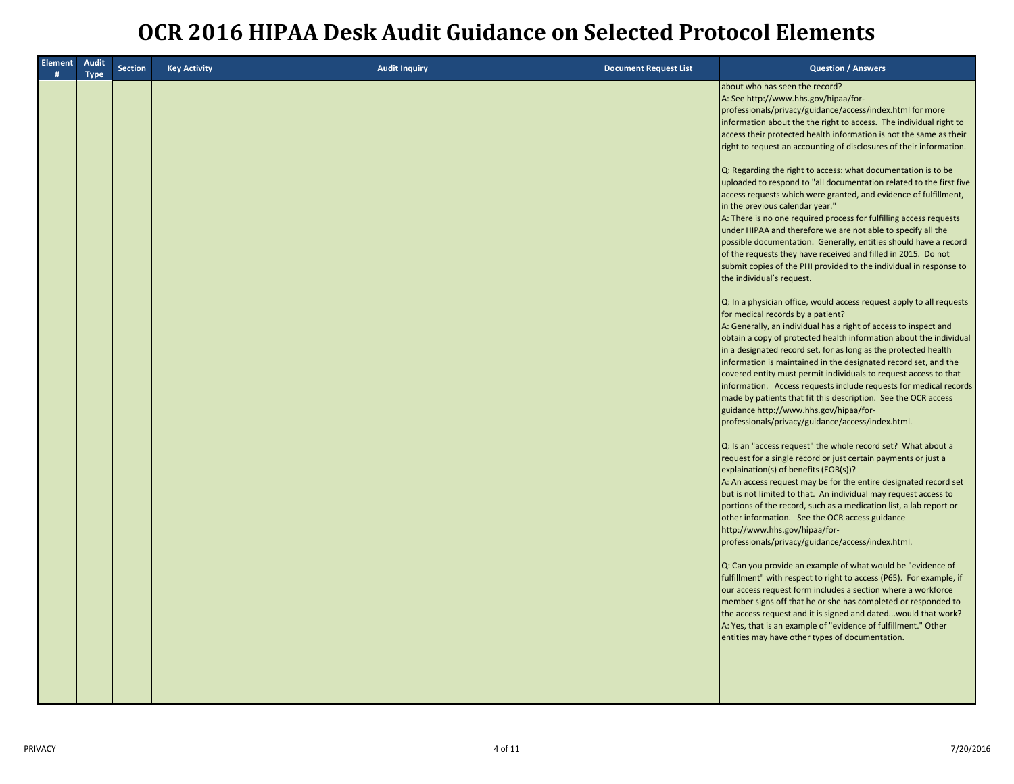| <b>Element</b><br># | Audit<br><b>Type</b> | <b>Section</b> | <b>Key Activity</b> | <b>Audit Inquiry</b> | <b>Document Request List</b> | <b>Question / Answers</b>                                                                                                                                                                                                                                                                                                                                                                                                                                                                                                                                                                                                                                                                                                                                                                                                                                                                                                                                                                                                                                                                                                                                                                                                                                                                                                                                                                                                                                                                                                                                                                                                                                                                                                                                                                                                                                                                                                                                                                                                                                                                                                                                                                                                                                                                                                                                                                                                                                                                                                                                                                                                                                                                |
|---------------------|----------------------|----------------|---------------------|----------------------|------------------------------|------------------------------------------------------------------------------------------------------------------------------------------------------------------------------------------------------------------------------------------------------------------------------------------------------------------------------------------------------------------------------------------------------------------------------------------------------------------------------------------------------------------------------------------------------------------------------------------------------------------------------------------------------------------------------------------------------------------------------------------------------------------------------------------------------------------------------------------------------------------------------------------------------------------------------------------------------------------------------------------------------------------------------------------------------------------------------------------------------------------------------------------------------------------------------------------------------------------------------------------------------------------------------------------------------------------------------------------------------------------------------------------------------------------------------------------------------------------------------------------------------------------------------------------------------------------------------------------------------------------------------------------------------------------------------------------------------------------------------------------------------------------------------------------------------------------------------------------------------------------------------------------------------------------------------------------------------------------------------------------------------------------------------------------------------------------------------------------------------------------------------------------------------------------------------------------------------------------------------------------------------------------------------------------------------------------------------------------------------------------------------------------------------------------------------------------------------------------------------------------------------------------------------------------------------------------------------------------------------------------------------------------------------------------------------------------|
|                     |                      |                |                     |                      |                              | about who has seen the record?<br>A: See http://www.hhs.gov/hipaa/for-<br>professionals/privacy/guidance/access/index.html for more<br>information about the the right to access. The individual right to<br>access their protected health information is not the same as their<br>right to request an accounting of disclosures of their information.<br>Q: Regarding the right to access: what documentation is to be<br>uploaded to respond to "all documentation related to the first five<br>access requests which were granted, and evidence of fulfillment,<br>in the previous calendar year."<br>A: There is no one required process for fulfilling access requests<br>under HIPAA and therefore we are not able to specify all the<br>possible documentation. Generally, entities should have a record<br>of the requests they have received and filled in 2015. Do not<br>submit copies of the PHI provided to the individual in response to<br>the individual's request.<br>Q: In a physician office, would access request apply to all requests<br>for medical records by a patient?<br>A: Generally, an individual has a right of access to inspect and<br>obtain a copy of protected health information about the individual<br>in a designated record set, for as long as the protected health<br>information is maintained in the designated record set, and the<br>covered entity must permit individuals to request access to that<br>information. Access requests include requests for medical records<br>made by patients that fit this description. See the OCR access<br>guidance http://www.hhs.gov/hipaa/for-<br>professionals/privacy/guidance/access/index.html.<br>Q: Is an "access request" the whole record set? What about a<br>request for a single record or just certain payments or just a<br>explaination(s) of benefits (EOB(s))?<br>A: An access request may be for the entire designated record set<br>but is not limited to that. An individual may request access to<br>portions of the record, such as a medication list, a lab report or<br>other information. See the OCR access guidance<br>http://www.hhs.gov/hipaa/for-<br>professionals/privacy/guidance/access/index.html.<br>Q: Can you provide an example of what would be "evidence of<br>fulfillment" with respect to right to access (P65). For example, if<br>our access request form includes a section where a workforce<br>member signs off that he or she has completed or responded to<br>the access request and it is signed and dated would that work?<br>A: Yes, that is an example of "evidence of fulfillment." Other<br>entities may have other types of documentation. |
|                     |                      |                |                     |                      |                              |                                                                                                                                                                                                                                                                                                                                                                                                                                                                                                                                                                                                                                                                                                                                                                                                                                                                                                                                                                                                                                                                                                                                                                                                                                                                                                                                                                                                                                                                                                                                                                                                                                                                                                                                                                                                                                                                                                                                                                                                                                                                                                                                                                                                                                                                                                                                                                                                                                                                                                                                                                                                                                                                                          |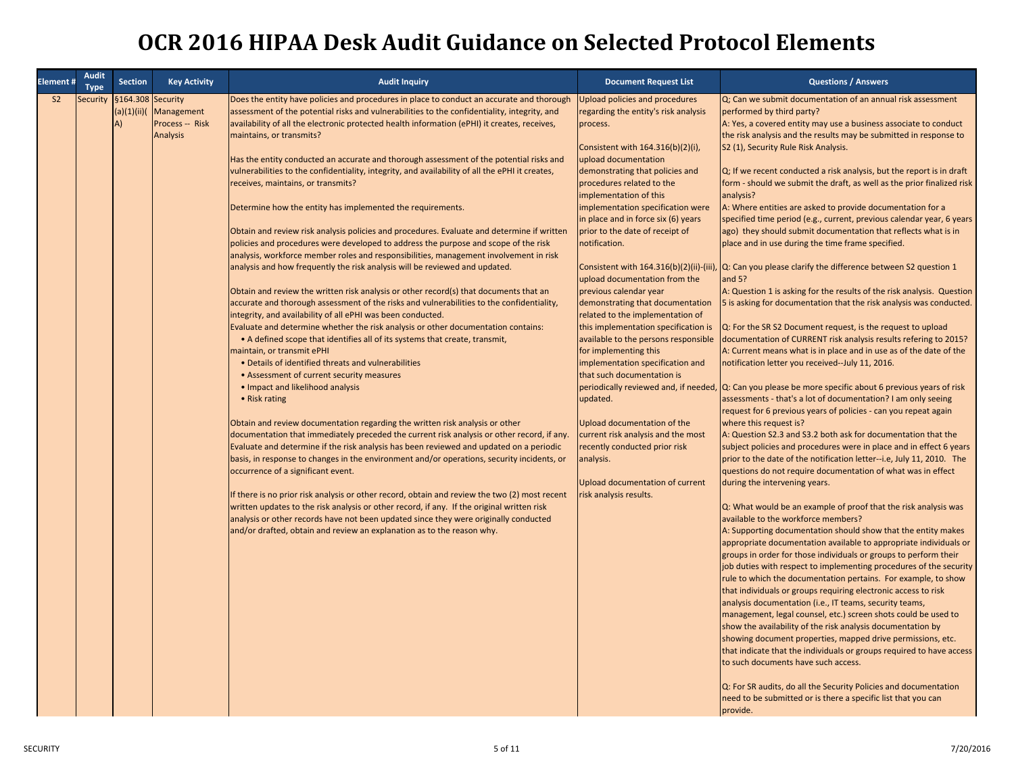| S <sub>2</sub><br>Security<br>§164.308 Security<br>Does the entity have policies and procedures in place to conduct an accurate and thorough<br>Upload policies and procedures<br>Q; Can we submit documentation of an annual risk assessment<br>assessment of the potential risks and vulnerabilities to the confidentiality, integrity, and<br>(a)(1)(ii)()<br>Management<br>regarding the entity's risk analysis<br>performed by third party?<br>Process -- Risk<br>availability of all the electronic protected health information (ePHI) it creates, receives,<br>A: Yes, a covered entity may use a business associate to conduct<br>A)<br>process.<br><b>Analysis</b><br>the risk analysis and the results may be submitted in response to<br>maintains, or transmits?<br>Consistent with 164.316(b)(2)(i),<br>S2 (1), Security Rule Risk Analysis.<br>Has the entity conducted an accurate and thorough assessment of the potential risks and<br>upload documentation<br>vulnerabilities to the confidentiality, integrity, and availability of all the ePHI it creates,<br>Q; If we recent conducted a risk analysis, but the report is in draft<br>demonstrating that policies and<br>form - should we submit the draft, as well as the prior finalized risk<br>receives, maintains, or transmits?<br>procedures related to the<br>implementation of this<br>analysis?<br>A: Where entities are asked to provide documentation for a<br>Determine how the entity has implemented the requirements.<br>implementation specification were<br>in place and in force six (6) years<br>specified time period (e.g., current, previous calendar year, 6 years<br>ago) they should submit documentation that reflects what is in<br>Obtain and review risk analysis policies and procedures. Evaluate and determine if written<br>prior to the date of receipt of<br>policies and procedures were developed to address the purpose and scope of the risk<br>notification.<br>place and in use during the time frame specified.<br>analysis, workforce member roles and responsibilities, management involvement in risk<br>analysis and how frequently the risk analysis will be reviewed and updated.<br>Consistent with 164.316(b)(2)(ii)-(iii), Q: Can you please clarify the difference between S2 question 1<br>upload documentation from the<br>and $5$ ?<br>previous calendar year<br>A: Question 1 is asking for the results of the risk analysis. Question<br>Obtain and review the written risk analysis or other record(s) that documents that an<br>accurate and thorough assessment of the risks and vulnerabilities to the confidentiality,<br>demonstrating that documentation<br>5 is asking for documentation that the risk analysis was conducted.<br>integrity, and availability of all ePHI was been conducted.<br>related to the implementation of<br>Evaluate and determine whether the risk analysis or other documentation contains:<br>this implementation specification is<br>Q: For the SR S2 Document request, is the request to upload<br>• A defined scope that identifies all of its systems that create, transmit,<br>available to the persons responsible<br>documentation of CURRENT risk analysis results refering to 2015?<br>maintain, or transmit ePHI<br>for implementing this<br>A: Current means what is in place and in use as of the date of the<br>implementation specification and<br>• Details of identified threats and vulnerabilities<br>notification letter you received--July 11, 2016.<br>that such documentation is<br>• Assessment of current security measures<br>periodically reviewed and, if needed, Q: Can you please be more specific about 6 previous years of risk<br>• Impact and likelihood analysis<br>• Risk rating<br>updated.<br>assessments - that's a lot of documentation? I am only seeing<br>request for 6 previous years of policies - can you repeat again<br>Obtain and review documentation regarding the written risk analysis or other<br>Upload documentation of the<br>where this request is?<br>documentation that immediately preceded the current risk analysis or other record, if any.<br>current risk analysis and the most<br>A: Question S2.3 and S3.2 both ask for documentation that the<br>Evaluate and determine if the risk analysis has been reviewed and updated on a periodic<br>recently conducted prior risk<br>subject policies and procedures were in place and in effect 6 years<br>basis, in response to changes in the environment and/or operations, security incidents, or<br>analysis.<br>prior to the date of the notification letter--i.e, July 11, 2010. The<br>occurrence of a significant event.<br>questions do not require documentation of what was in effect<br>Upload documentation of current<br>during the intervening years.<br>If there is no prior risk analysis or other record, obtain and review the two (2) most recent<br>risk analysis results.<br>written updates to the risk analysis or other record, if any. If the original written risk<br>Q: What would be an example of proof that the risk analysis was<br>analysis or other records have not been updated since they were originally conducted<br>available to the workforce members?<br>and/or drafted, obtain and review an explanation as to the reason why.<br>A: Supporting documentation should show that the entity makes<br>appropriate documentation available to appropriate individuals or<br>groups in order for those individuals or groups to perform their<br>job duties with respect to implementing procedures of the security<br>rule to which the documentation pertains. For example, to show<br>that individuals or groups requiring electronic access to risk<br>analysis documentation (i.e., IT teams, security teams,<br>management, legal counsel, etc.) screen shots could be used to<br>show the availability of the risk analysis documentation by<br>showing document properties, mapped drive permissions, etc.<br>that indicate that the individuals or groups required to have access<br>to such documents have such access.<br>Q: For SR audits, do all the Security Policies and documentation<br>need to be submitted or is there a specific list that you can | Element # | <b>Audit</b><br>Type | <b>Section</b> | <b>Key Activity</b> | <b>Audit Inquiry</b> | <b>Document Request List</b> | <b>Questions / Answers</b> |
|-------------------------------------------------------------------------------------------------------------------------------------------------------------------------------------------------------------------------------------------------------------------------------------------------------------------------------------------------------------------------------------------------------------------------------------------------------------------------------------------------------------------------------------------------------------------------------------------------------------------------------------------------------------------------------------------------------------------------------------------------------------------------------------------------------------------------------------------------------------------------------------------------------------------------------------------------------------------------------------------------------------------------------------------------------------------------------------------------------------------------------------------------------------------------------------------------------------------------------------------------------------------------------------------------------------------------------------------------------------------------------------------------------------------------------------------------------------------------------------------------------------------------------------------------------------------------------------------------------------------------------------------------------------------------------------------------------------------------------------------------------------------------------------------------------------------------------------------------------------------------------------------------------------------------------------------------------------------------------------------------------------------------------------------------------------------------------------------------------------------------------------------------------------------------------------------------------------------------------------------------------------------------------------------------------------------------------------------------------------------------------------------------------------------------------------------------------------------------------------------------------------------------------------------------------------------------------------------------------------------------------------------------------------------------------------------------------------------------------------------------------------------------------------------------------------------------------------------------------------------------------------------------------------------------------------------------------------------------------------------------------------------------------------------------------------------------------------------------------------------------------------------------------------------------------------------------------------------------------------------------------------------------------------------------------------------------------------------------------------------------------------------------------------------------------------------------------------------------------------------------------------------------------------------------------------------------------------------------------------------------------------------------------------------------------------------------------------------------------------------------------------------------------------------------------------------------------------------------------------------------------------------------------------------------------------------------------------------------------------------------------------------------------------------------------------------------------------------------------------------------------------------------------------------------------------------------------------------------------------------------------------------------------------------------------------------------------------------------------------------------------------------------------------------------------------------------------------------------------------------------------------------------------------------------------------------------------------------------------------------------------------------------------------------------------------------------------------------------------------------------------------------------------------------------------------------------------------------------------------------------------------------------------------------------------------------------------------------------------------------------------------------------------------------------------------------------------------------------------------------------------------------------------------------------------------------------------------------------------------------------------------------------------------------------------------------------------------------------------------------------------------------------------------------------------------------------------------------------------------------------------------------------------------------------------------------------------------------------------------------------------------------------------------------------------------------------------------------------------------------------------------------------------------------------------------------------------------------------------------------------------------------------------------------------------------------------------------------------------------------------------------------------------------------------------------------------------------------------------------------------------------------------------------------------------------------------------------------------------------------------------------------------------------------------|-----------|----------------------|----------------|---------------------|----------------------|------------------------------|----------------------------|
|                                                                                                                                                                                                                                                                                                                                                                                                                                                                                                                                                                                                                                                                                                                                                                                                                                                                                                                                                                                                                                                                                                                                                                                                                                                                                                                                                                                                                                                                                                                                                                                                                                                                                                                                                                                                                                                                                                                                                                                                                                                                                                                                                                                                                                                                                                                                                                                                                                                                                                                                                                                                                                                                                                                                                                                                                                                                                                                                                                                                                                                                                                                                                                                                                                                                                                                                                                                                                                                                                                                                                                                                                                                                                                                                                                                                                                                                                                                                                                                                                                                                                                                                                                                                                                                                                                                                                                                                                                                                                                                                                                                                                                                                                                                                                                                                                                                                                                                                                                                                                                                                                                                                                                                                                                                                                                                                                                                                                                                                                                                                                                                                                                                                                                                                                                                                                                                                                                                                                                                                                                                                                                                                                                                                                                                                                                 |           |                      |                |                     |                      |                              |                            |
|                                                                                                                                                                                                                                                                                                                                                                                                                                                                                                                                                                                                                                                                                                                                                                                                                                                                                                                                                                                                                                                                                                                                                                                                                                                                                                                                                                                                                                                                                                                                                                                                                                                                                                                                                                                                                                                                                                                                                                                                                                                                                                                                                                                                                                                                                                                                                                                                                                                                                                                                                                                                                                                                                                                                                                                                                                                                                                                                                                                                                                                                                                                                                                                                                                                                                                                                                                                                                                                                                                                                                                                                                                                                                                                                                                                                                                                                                                                                                                                                                                                                                                                                                                                                                                                                                                                                                                                                                                                                                                                                                                                                                                                                                                                                                                                                                                                                                                                                                                                                                                                                                                                                                                                                                                                                                                                                                                                                                                                                                                                                                                                                                                                                                                                                                                                                                                                                                                                                                                                                                                                                                                                                                                                                                                                                                                 |           |                      |                |                     |                      |                              |                            |
|                                                                                                                                                                                                                                                                                                                                                                                                                                                                                                                                                                                                                                                                                                                                                                                                                                                                                                                                                                                                                                                                                                                                                                                                                                                                                                                                                                                                                                                                                                                                                                                                                                                                                                                                                                                                                                                                                                                                                                                                                                                                                                                                                                                                                                                                                                                                                                                                                                                                                                                                                                                                                                                                                                                                                                                                                                                                                                                                                                                                                                                                                                                                                                                                                                                                                                                                                                                                                                                                                                                                                                                                                                                                                                                                                                                                                                                                                                                                                                                                                                                                                                                                                                                                                                                                                                                                                                                                                                                                                                                                                                                                                                                                                                                                                                                                                                                                                                                                                                                                                                                                                                                                                                                                                                                                                                                                                                                                                                                                                                                                                                                                                                                                                                                                                                                                                                                                                                                                                                                                                                                                                                                                                                                                                                                                                                 |           |                      |                |                     |                      |                              |                            |
|                                                                                                                                                                                                                                                                                                                                                                                                                                                                                                                                                                                                                                                                                                                                                                                                                                                                                                                                                                                                                                                                                                                                                                                                                                                                                                                                                                                                                                                                                                                                                                                                                                                                                                                                                                                                                                                                                                                                                                                                                                                                                                                                                                                                                                                                                                                                                                                                                                                                                                                                                                                                                                                                                                                                                                                                                                                                                                                                                                                                                                                                                                                                                                                                                                                                                                                                                                                                                                                                                                                                                                                                                                                                                                                                                                                                                                                                                                                                                                                                                                                                                                                                                                                                                                                                                                                                                                                                                                                                                                                                                                                                                                                                                                                                                                                                                                                                                                                                                                                                                                                                                                                                                                                                                                                                                                                                                                                                                                                                                                                                                                                                                                                                                                                                                                                                                                                                                                                                                                                                                                                                                                                                                                                                                                                                                                 |           |                      |                |                     |                      |                              |                            |
|                                                                                                                                                                                                                                                                                                                                                                                                                                                                                                                                                                                                                                                                                                                                                                                                                                                                                                                                                                                                                                                                                                                                                                                                                                                                                                                                                                                                                                                                                                                                                                                                                                                                                                                                                                                                                                                                                                                                                                                                                                                                                                                                                                                                                                                                                                                                                                                                                                                                                                                                                                                                                                                                                                                                                                                                                                                                                                                                                                                                                                                                                                                                                                                                                                                                                                                                                                                                                                                                                                                                                                                                                                                                                                                                                                                                                                                                                                                                                                                                                                                                                                                                                                                                                                                                                                                                                                                                                                                                                                                                                                                                                                                                                                                                                                                                                                                                                                                                                                                                                                                                                                                                                                                                                                                                                                                                                                                                                                                                                                                                                                                                                                                                                                                                                                                                                                                                                                                                                                                                                                                                                                                                                                                                                                                                                                 |           |                      |                |                     |                      |                              |                            |
|                                                                                                                                                                                                                                                                                                                                                                                                                                                                                                                                                                                                                                                                                                                                                                                                                                                                                                                                                                                                                                                                                                                                                                                                                                                                                                                                                                                                                                                                                                                                                                                                                                                                                                                                                                                                                                                                                                                                                                                                                                                                                                                                                                                                                                                                                                                                                                                                                                                                                                                                                                                                                                                                                                                                                                                                                                                                                                                                                                                                                                                                                                                                                                                                                                                                                                                                                                                                                                                                                                                                                                                                                                                                                                                                                                                                                                                                                                                                                                                                                                                                                                                                                                                                                                                                                                                                                                                                                                                                                                                                                                                                                                                                                                                                                                                                                                                                                                                                                                                                                                                                                                                                                                                                                                                                                                                                                                                                                                                                                                                                                                                                                                                                                                                                                                                                                                                                                                                                                                                                                                                                                                                                                                                                                                                                                                 |           |                      |                |                     |                      |                              |                            |
|                                                                                                                                                                                                                                                                                                                                                                                                                                                                                                                                                                                                                                                                                                                                                                                                                                                                                                                                                                                                                                                                                                                                                                                                                                                                                                                                                                                                                                                                                                                                                                                                                                                                                                                                                                                                                                                                                                                                                                                                                                                                                                                                                                                                                                                                                                                                                                                                                                                                                                                                                                                                                                                                                                                                                                                                                                                                                                                                                                                                                                                                                                                                                                                                                                                                                                                                                                                                                                                                                                                                                                                                                                                                                                                                                                                                                                                                                                                                                                                                                                                                                                                                                                                                                                                                                                                                                                                                                                                                                                                                                                                                                                                                                                                                                                                                                                                                                                                                                                                                                                                                                                                                                                                                                                                                                                                                                                                                                                                                                                                                                                                                                                                                                                                                                                                                                                                                                                                                                                                                                                                                                                                                                                                                                                                                                                 |           |                      |                |                     |                      |                              |                            |
|                                                                                                                                                                                                                                                                                                                                                                                                                                                                                                                                                                                                                                                                                                                                                                                                                                                                                                                                                                                                                                                                                                                                                                                                                                                                                                                                                                                                                                                                                                                                                                                                                                                                                                                                                                                                                                                                                                                                                                                                                                                                                                                                                                                                                                                                                                                                                                                                                                                                                                                                                                                                                                                                                                                                                                                                                                                                                                                                                                                                                                                                                                                                                                                                                                                                                                                                                                                                                                                                                                                                                                                                                                                                                                                                                                                                                                                                                                                                                                                                                                                                                                                                                                                                                                                                                                                                                                                                                                                                                                                                                                                                                                                                                                                                                                                                                                                                                                                                                                                                                                                                                                                                                                                                                                                                                                                                                                                                                                                                                                                                                                                                                                                                                                                                                                                                                                                                                                                                                                                                                                                                                                                                                                                                                                                                                                 |           |                      |                |                     |                      |                              |                            |
|                                                                                                                                                                                                                                                                                                                                                                                                                                                                                                                                                                                                                                                                                                                                                                                                                                                                                                                                                                                                                                                                                                                                                                                                                                                                                                                                                                                                                                                                                                                                                                                                                                                                                                                                                                                                                                                                                                                                                                                                                                                                                                                                                                                                                                                                                                                                                                                                                                                                                                                                                                                                                                                                                                                                                                                                                                                                                                                                                                                                                                                                                                                                                                                                                                                                                                                                                                                                                                                                                                                                                                                                                                                                                                                                                                                                                                                                                                                                                                                                                                                                                                                                                                                                                                                                                                                                                                                                                                                                                                                                                                                                                                                                                                                                                                                                                                                                                                                                                                                                                                                                                                                                                                                                                                                                                                                                                                                                                                                                                                                                                                                                                                                                                                                                                                                                                                                                                                                                                                                                                                                                                                                                                                                                                                                                                                 |           |                      |                |                     |                      |                              |                            |
|                                                                                                                                                                                                                                                                                                                                                                                                                                                                                                                                                                                                                                                                                                                                                                                                                                                                                                                                                                                                                                                                                                                                                                                                                                                                                                                                                                                                                                                                                                                                                                                                                                                                                                                                                                                                                                                                                                                                                                                                                                                                                                                                                                                                                                                                                                                                                                                                                                                                                                                                                                                                                                                                                                                                                                                                                                                                                                                                                                                                                                                                                                                                                                                                                                                                                                                                                                                                                                                                                                                                                                                                                                                                                                                                                                                                                                                                                                                                                                                                                                                                                                                                                                                                                                                                                                                                                                                                                                                                                                                                                                                                                                                                                                                                                                                                                                                                                                                                                                                                                                                                                                                                                                                                                                                                                                                                                                                                                                                                                                                                                                                                                                                                                                                                                                                                                                                                                                                                                                                                                                                                                                                                                                                                                                                                                                 |           |                      |                |                     |                      |                              |                            |
|                                                                                                                                                                                                                                                                                                                                                                                                                                                                                                                                                                                                                                                                                                                                                                                                                                                                                                                                                                                                                                                                                                                                                                                                                                                                                                                                                                                                                                                                                                                                                                                                                                                                                                                                                                                                                                                                                                                                                                                                                                                                                                                                                                                                                                                                                                                                                                                                                                                                                                                                                                                                                                                                                                                                                                                                                                                                                                                                                                                                                                                                                                                                                                                                                                                                                                                                                                                                                                                                                                                                                                                                                                                                                                                                                                                                                                                                                                                                                                                                                                                                                                                                                                                                                                                                                                                                                                                                                                                                                                                                                                                                                                                                                                                                                                                                                                                                                                                                                                                                                                                                                                                                                                                                                                                                                                                                                                                                                                                                                                                                                                                                                                                                                                                                                                                                                                                                                                                                                                                                                                                                                                                                                                                                                                                                                                 |           |                      |                |                     |                      |                              |                            |
|                                                                                                                                                                                                                                                                                                                                                                                                                                                                                                                                                                                                                                                                                                                                                                                                                                                                                                                                                                                                                                                                                                                                                                                                                                                                                                                                                                                                                                                                                                                                                                                                                                                                                                                                                                                                                                                                                                                                                                                                                                                                                                                                                                                                                                                                                                                                                                                                                                                                                                                                                                                                                                                                                                                                                                                                                                                                                                                                                                                                                                                                                                                                                                                                                                                                                                                                                                                                                                                                                                                                                                                                                                                                                                                                                                                                                                                                                                                                                                                                                                                                                                                                                                                                                                                                                                                                                                                                                                                                                                                                                                                                                                                                                                                                                                                                                                                                                                                                                                                                                                                                                                                                                                                                                                                                                                                                                                                                                                                                                                                                                                                                                                                                                                                                                                                                                                                                                                                                                                                                                                                                                                                                                                                                                                                                                                 |           |                      |                |                     |                      |                              |                            |
|                                                                                                                                                                                                                                                                                                                                                                                                                                                                                                                                                                                                                                                                                                                                                                                                                                                                                                                                                                                                                                                                                                                                                                                                                                                                                                                                                                                                                                                                                                                                                                                                                                                                                                                                                                                                                                                                                                                                                                                                                                                                                                                                                                                                                                                                                                                                                                                                                                                                                                                                                                                                                                                                                                                                                                                                                                                                                                                                                                                                                                                                                                                                                                                                                                                                                                                                                                                                                                                                                                                                                                                                                                                                                                                                                                                                                                                                                                                                                                                                                                                                                                                                                                                                                                                                                                                                                                                                                                                                                                                                                                                                                                                                                                                                                                                                                                                                                                                                                                                                                                                                                                                                                                                                                                                                                                                                                                                                                                                                                                                                                                                                                                                                                                                                                                                                                                                                                                                                                                                                                                                                                                                                                                                                                                                                                                 |           |                      |                |                     |                      |                              |                            |
|                                                                                                                                                                                                                                                                                                                                                                                                                                                                                                                                                                                                                                                                                                                                                                                                                                                                                                                                                                                                                                                                                                                                                                                                                                                                                                                                                                                                                                                                                                                                                                                                                                                                                                                                                                                                                                                                                                                                                                                                                                                                                                                                                                                                                                                                                                                                                                                                                                                                                                                                                                                                                                                                                                                                                                                                                                                                                                                                                                                                                                                                                                                                                                                                                                                                                                                                                                                                                                                                                                                                                                                                                                                                                                                                                                                                                                                                                                                                                                                                                                                                                                                                                                                                                                                                                                                                                                                                                                                                                                                                                                                                                                                                                                                                                                                                                                                                                                                                                                                                                                                                                                                                                                                                                                                                                                                                                                                                                                                                                                                                                                                                                                                                                                                                                                                                                                                                                                                                                                                                                                                                                                                                                                                                                                                                                                 |           |                      |                |                     |                      |                              |                            |
|                                                                                                                                                                                                                                                                                                                                                                                                                                                                                                                                                                                                                                                                                                                                                                                                                                                                                                                                                                                                                                                                                                                                                                                                                                                                                                                                                                                                                                                                                                                                                                                                                                                                                                                                                                                                                                                                                                                                                                                                                                                                                                                                                                                                                                                                                                                                                                                                                                                                                                                                                                                                                                                                                                                                                                                                                                                                                                                                                                                                                                                                                                                                                                                                                                                                                                                                                                                                                                                                                                                                                                                                                                                                                                                                                                                                                                                                                                                                                                                                                                                                                                                                                                                                                                                                                                                                                                                                                                                                                                                                                                                                                                                                                                                                                                                                                                                                                                                                                                                                                                                                                                                                                                                                                                                                                                                                                                                                                                                                                                                                                                                                                                                                                                                                                                                                                                                                                                                                                                                                                                                                                                                                                                                                                                                                                                 |           |                      |                |                     |                      |                              |                            |
|                                                                                                                                                                                                                                                                                                                                                                                                                                                                                                                                                                                                                                                                                                                                                                                                                                                                                                                                                                                                                                                                                                                                                                                                                                                                                                                                                                                                                                                                                                                                                                                                                                                                                                                                                                                                                                                                                                                                                                                                                                                                                                                                                                                                                                                                                                                                                                                                                                                                                                                                                                                                                                                                                                                                                                                                                                                                                                                                                                                                                                                                                                                                                                                                                                                                                                                                                                                                                                                                                                                                                                                                                                                                                                                                                                                                                                                                                                                                                                                                                                                                                                                                                                                                                                                                                                                                                                                                                                                                                                                                                                                                                                                                                                                                                                                                                                                                                                                                                                                                                                                                                                                                                                                                                                                                                                                                                                                                                                                                                                                                                                                                                                                                                                                                                                                                                                                                                                                                                                                                                                                                                                                                                                                                                                                                                                 |           |                      |                |                     |                      |                              |                            |
|                                                                                                                                                                                                                                                                                                                                                                                                                                                                                                                                                                                                                                                                                                                                                                                                                                                                                                                                                                                                                                                                                                                                                                                                                                                                                                                                                                                                                                                                                                                                                                                                                                                                                                                                                                                                                                                                                                                                                                                                                                                                                                                                                                                                                                                                                                                                                                                                                                                                                                                                                                                                                                                                                                                                                                                                                                                                                                                                                                                                                                                                                                                                                                                                                                                                                                                                                                                                                                                                                                                                                                                                                                                                                                                                                                                                                                                                                                                                                                                                                                                                                                                                                                                                                                                                                                                                                                                                                                                                                                                                                                                                                                                                                                                                                                                                                                                                                                                                                                                                                                                                                                                                                                                                                                                                                                                                                                                                                                                                                                                                                                                                                                                                                                                                                                                                                                                                                                                                                                                                                                                                                                                                                                                                                                                                                                 |           |                      |                |                     |                      |                              |                            |
|                                                                                                                                                                                                                                                                                                                                                                                                                                                                                                                                                                                                                                                                                                                                                                                                                                                                                                                                                                                                                                                                                                                                                                                                                                                                                                                                                                                                                                                                                                                                                                                                                                                                                                                                                                                                                                                                                                                                                                                                                                                                                                                                                                                                                                                                                                                                                                                                                                                                                                                                                                                                                                                                                                                                                                                                                                                                                                                                                                                                                                                                                                                                                                                                                                                                                                                                                                                                                                                                                                                                                                                                                                                                                                                                                                                                                                                                                                                                                                                                                                                                                                                                                                                                                                                                                                                                                                                                                                                                                                                                                                                                                                                                                                                                                                                                                                                                                                                                                                                                                                                                                                                                                                                                                                                                                                                                                                                                                                                                                                                                                                                                                                                                                                                                                                                                                                                                                                                                                                                                                                                                                                                                                                                                                                                                                                 |           |                      |                |                     |                      |                              |                            |
|                                                                                                                                                                                                                                                                                                                                                                                                                                                                                                                                                                                                                                                                                                                                                                                                                                                                                                                                                                                                                                                                                                                                                                                                                                                                                                                                                                                                                                                                                                                                                                                                                                                                                                                                                                                                                                                                                                                                                                                                                                                                                                                                                                                                                                                                                                                                                                                                                                                                                                                                                                                                                                                                                                                                                                                                                                                                                                                                                                                                                                                                                                                                                                                                                                                                                                                                                                                                                                                                                                                                                                                                                                                                                                                                                                                                                                                                                                                                                                                                                                                                                                                                                                                                                                                                                                                                                                                                                                                                                                                                                                                                                                                                                                                                                                                                                                                                                                                                                                                                                                                                                                                                                                                                                                                                                                                                                                                                                                                                                                                                                                                                                                                                                                                                                                                                                                                                                                                                                                                                                                                                                                                                                                                                                                                                                                 |           |                      |                |                     |                      |                              |                            |
|                                                                                                                                                                                                                                                                                                                                                                                                                                                                                                                                                                                                                                                                                                                                                                                                                                                                                                                                                                                                                                                                                                                                                                                                                                                                                                                                                                                                                                                                                                                                                                                                                                                                                                                                                                                                                                                                                                                                                                                                                                                                                                                                                                                                                                                                                                                                                                                                                                                                                                                                                                                                                                                                                                                                                                                                                                                                                                                                                                                                                                                                                                                                                                                                                                                                                                                                                                                                                                                                                                                                                                                                                                                                                                                                                                                                                                                                                                                                                                                                                                                                                                                                                                                                                                                                                                                                                                                                                                                                                                                                                                                                                                                                                                                                                                                                                                                                                                                                                                                                                                                                                                                                                                                                                                                                                                                                                                                                                                                                                                                                                                                                                                                                                                                                                                                                                                                                                                                                                                                                                                                                                                                                                                                                                                                                                                 |           |                      |                |                     |                      |                              |                            |
|                                                                                                                                                                                                                                                                                                                                                                                                                                                                                                                                                                                                                                                                                                                                                                                                                                                                                                                                                                                                                                                                                                                                                                                                                                                                                                                                                                                                                                                                                                                                                                                                                                                                                                                                                                                                                                                                                                                                                                                                                                                                                                                                                                                                                                                                                                                                                                                                                                                                                                                                                                                                                                                                                                                                                                                                                                                                                                                                                                                                                                                                                                                                                                                                                                                                                                                                                                                                                                                                                                                                                                                                                                                                                                                                                                                                                                                                                                                                                                                                                                                                                                                                                                                                                                                                                                                                                                                                                                                                                                                                                                                                                                                                                                                                                                                                                                                                                                                                                                                                                                                                                                                                                                                                                                                                                                                                                                                                                                                                                                                                                                                                                                                                                                                                                                                                                                                                                                                                                                                                                                                                                                                                                                                                                                                                                                 |           |                      |                |                     |                      |                              |                            |
|                                                                                                                                                                                                                                                                                                                                                                                                                                                                                                                                                                                                                                                                                                                                                                                                                                                                                                                                                                                                                                                                                                                                                                                                                                                                                                                                                                                                                                                                                                                                                                                                                                                                                                                                                                                                                                                                                                                                                                                                                                                                                                                                                                                                                                                                                                                                                                                                                                                                                                                                                                                                                                                                                                                                                                                                                                                                                                                                                                                                                                                                                                                                                                                                                                                                                                                                                                                                                                                                                                                                                                                                                                                                                                                                                                                                                                                                                                                                                                                                                                                                                                                                                                                                                                                                                                                                                                                                                                                                                                                                                                                                                                                                                                                                                                                                                                                                                                                                                                                                                                                                                                                                                                                                                                                                                                                                                                                                                                                                                                                                                                                                                                                                                                                                                                                                                                                                                                                                                                                                                                                                                                                                                                                                                                                                                                 |           |                      |                |                     |                      |                              |                            |
|                                                                                                                                                                                                                                                                                                                                                                                                                                                                                                                                                                                                                                                                                                                                                                                                                                                                                                                                                                                                                                                                                                                                                                                                                                                                                                                                                                                                                                                                                                                                                                                                                                                                                                                                                                                                                                                                                                                                                                                                                                                                                                                                                                                                                                                                                                                                                                                                                                                                                                                                                                                                                                                                                                                                                                                                                                                                                                                                                                                                                                                                                                                                                                                                                                                                                                                                                                                                                                                                                                                                                                                                                                                                                                                                                                                                                                                                                                                                                                                                                                                                                                                                                                                                                                                                                                                                                                                                                                                                                                                                                                                                                                                                                                                                                                                                                                                                                                                                                                                                                                                                                                                                                                                                                                                                                                                                                                                                                                                                                                                                                                                                                                                                                                                                                                                                                                                                                                                                                                                                                                                                                                                                                                                                                                                                                                 |           |                      |                |                     |                      |                              |                            |
|                                                                                                                                                                                                                                                                                                                                                                                                                                                                                                                                                                                                                                                                                                                                                                                                                                                                                                                                                                                                                                                                                                                                                                                                                                                                                                                                                                                                                                                                                                                                                                                                                                                                                                                                                                                                                                                                                                                                                                                                                                                                                                                                                                                                                                                                                                                                                                                                                                                                                                                                                                                                                                                                                                                                                                                                                                                                                                                                                                                                                                                                                                                                                                                                                                                                                                                                                                                                                                                                                                                                                                                                                                                                                                                                                                                                                                                                                                                                                                                                                                                                                                                                                                                                                                                                                                                                                                                                                                                                                                                                                                                                                                                                                                                                                                                                                                                                                                                                                                                                                                                                                                                                                                                                                                                                                                                                                                                                                                                                                                                                                                                                                                                                                                                                                                                                                                                                                                                                                                                                                                                                                                                                                                                                                                                                                                 |           |                      |                |                     |                      |                              |                            |
|                                                                                                                                                                                                                                                                                                                                                                                                                                                                                                                                                                                                                                                                                                                                                                                                                                                                                                                                                                                                                                                                                                                                                                                                                                                                                                                                                                                                                                                                                                                                                                                                                                                                                                                                                                                                                                                                                                                                                                                                                                                                                                                                                                                                                                                                                                                                                                                                                                                                                                                                                                                                                                                                                                                                                                                                                                                                                                                                                                                                                                                                                                                                                                                                                                                                                                                                                                                                                                                                                                                                                                                                                                                                                                                                                                                                                                                                                                                                                                                                                                                                                                                                                                                                                                                                                                                                                                                                                                                                                                                                                                                                                                                                                                                                                                                                                                                                                                                                                                                                                                                                                                                                                                                                                                                                                                                                                                                                                                                                                                                                                                                                                                                                                                                                                                                                                                                                                                                                                                                                                                                                                                                                                                                                                                                                                                 |           |                      |                |                     |                      |                              |                            |
|                                                                                                                                                                                                                                                                                                                                                                                                                                                                                                                                                                                                                                                                                                                                                                                                                                                                                                                                                                                                                                                                                                                                                                                                                                                                                                                                                                                                                                                                                                                                                                                                                                                                                                                                                                                                                                                                                                                                                                                                                                                                                                                                                                                                                                                                                                                                                                                                                                                                                                                                                                                                                                                                                                                                                                                                                                                                                                                                                                                                                                                                                                                                                                                                                                                                                                                                                                                                                                                                                                                                                                                                                                                                                                                                                                                                                                                                                                                                                                                                                                                                                                                                                                                                                                                                                                                                                                                                                                                                                                                                                                                                                                                                                                                                                                                                                                                                                                                                                                                                                                                                                                                                                                                                                                                                                                                                                                                                                                                                                                                                                                                                                                                                                                                                                                                                                                                                                                                                                                                                                                                                                                                                                                                                                                                                                                 |           |                      |                |                     |                      |                              |                            |
|                                                                                                                                                                                                                                                                                                                                                                                                                                                                                                                                                                                                                                                                                                                                                                                                                                                                                                                                                                                                                                                                                                                                                                                                                                                                                                                                                                                                                                                                                                                                                                                                                                                                                                                                                                                                                                                                                                                                                                                                                                                                                                                                                                                                                                                                                                                                                                                                                                                                                                                                                                                                                                                                                                                                                                                                                                                                                                                                                                                                                                                                                                                                                                                                                                                                                                                                                                                                                                                                                                                                                                                                                                                                                                                                                                                                                                                                                                                                                                                                                                                                                                                                                                                                                                                                                                                                                                                                                                                                                                                                                                                                                                                                                                                                                                                                                                                                                                                                                                                                                                                                                                                                                                                                                                                                                                                                                                                                                                                                                                                                                                                                                                                                                                                                                                                                                                                                                                                                                                                                                                                                                                                                                                                                                                                                                                 |           |                      |                |                     |                      |                              |                            |
|                                                                                                                                                                                                                                                                                                                                                                                                                                                                                                                                                                                                                                                                                                                                                                                                                                                                                                                                                                                                                                                                                                                                                                                                                                                                                                                                                                                                                                                                                                                                                                                                                                                                                                                                                                                                                                                                                                                                                                                                                                                                                                                                                                                                                                                                                                                                                                                                                                                                                                                                                                                                                                                                                                                                                                                                                                                                                                                                                                                                                                                                                                                                                                                                                                                                                                                                                                                                                                                                                                                                                                                                                                                                                                                                                                                                                                                                                                                                                                                                                                                                                                                                                                                                                                                                                                                                                                                                                                                                                                                                                                                                                                                                                                                                                                                                                                                                                                                                                                                                                                                                                                                                                                                                                                                                                                                                                                                                                                                                                                                                                                                                                                                                                                                                                                                                                                                                                                                                                                                                                                                                                                                                                                                                                                                                                                 |           |                      |                |                     |                      |                              |                            |
|                                                                                                                                                                                                                                                                                                                                                                                                                                                                                                                                                                                                                                                                                                                                                                                                                                                                                                                                                                                                                                                                                                                                                                                                                                                                                                                                                                                                                                                                                                                                                                                                                                                                                                                                                                                                                                                                                                                                                                                                                                                                                                                                                                                                                                                                                                                                                                                                                                                                                                                                                                                                                                                                                                                                                                                                                                                                                                                                                                                                                                                                                                                                                                                                                                                                                                                                                                                                                                                                                                                                                                                                                                                                                                                                                                                                                                                                                                                                                                                                                                                                                                                                                                                                                                                                                                                                                                                                                                                                                                                                                                                                                                                                                                                                                                                                                                                                                                                                                                                                                                                                                                                                                                                                                                                                                                                                                                                                                                                                                                                                                                                                                                                                                                                                                                                                                                                                                                                                                                                                                                                                                                                                                                                                                                                                                                 |           |                      |                |                     |                      |                              |                            |
|                                                                                                                                                                                                                                                                                                                                                                                                                                                                                                                                                                                                                                                                                                                                                                                                                                                                                                                                                                                                                                                                                                                                                                                                                                                                                                                                                                                                                                                                                                                                                                                                                                                                                                                                                                                                                                                                                                                                                                                                                                                                                                                                                                                                                                                                                                                                                                                                                                                                                                                                                                                                                                                                                                                                                                                                                                                                                                                                                                                                                                                                                                                                                                                                                                                                                                                                                                                                                                                                                                                                                                                                                                                                                                                                                                                                                                                                                                                                                                                                                                                                                                                                                                                                                                                                                                                                                                                                                                                                                                                                                                                                                                                                                                                                                                                                                                                                                                                                                                                                                                                                                                                                                                                                                                                                                                                                                                                                                                                                                                                                                                                                                                                                                                                                                                                                                                                                                                                                                                                                                                                                                                                                                                                                                                                                                                 |           |                      |                |                     |                      |                              |                            |
|                                                                                                                                                                                                                                                                                                                                                                                                                                                                                                                                                                                                                                                                                                                                                                                                                                                                                                                                                                                                                                                                                                                                                                                                                                                                                                                                                                                                                                                                                                                                                                                                                                                                                                                                                                                                                                                                                                                                                                                                                                                                                                                                                                                                                                                                                                                                                                                                                                                                                                                                                                                                                                                                                                                                                                                                                                                                                                                                                                                                                                                                                                                                                                                                                                                                                                                                                                                                                                                                                                                                                                                                                                                                                                                                                                                                                                                                                                                                                                                                                                                                                                                                                                                                                                                                                                                                                                                                                                                                                                                                                                                                                                                                                                                                                                                                                                                                                                                                                                                                                                                                                                                                                                                                                                                                                                                                                                                                                                                                                                                                                                                                                                                                                                                                                                                                                                                                                                                                                                                                                                                                                                                                                                                                                                                                                                 |           |                      |                |                     |                      |                              |                            |
|                                                                                                                                                                                                                                                                                                                                                                                                                                                                                                                                                                                                                                                                                                                                                                                                                                                                                                                                                                                                                                                                                                                                                                                                                                                                                                                                                                                                                                                                                                                                                                                                                                                                                                                                                                                                                                                                                                                                                                                                                                                                                                                                                                                                                                                                                                                                                                                                                                                                                                                                                                                                                                                                                                                                                                                                                                                                                                                                                                                                                                                                                                                                                                                                                                                                                                                                                                                                                                                                                                                                                                                                                                                                                                                                                                                                                                                                                                                                                                                                                                                                                                                                                                                                                                                                                                                                                                                                                                                                                                                                                                                                                                                                                                                                                                                                                                                                                                                                                                                                                                                                                                                                                                                                                                                                                                                                                                                                                                                                                                                                                                                                                                                                                                                                                                                                                                                                                                                                                                                                                                                                                                                                                                                                                                                                                                 |           |                      |                |                     |                      |                              |                            |
|                                                                                                                                                                                                                                                                                                                                                                                                                                                                                                                                                                                                                                                                                                                                                                                                                                                                                                                                                                                                                                                                                                                                                                                                                                                                                                                                                                                                                                                                                                                                                                                                                                                                                                                                                                                                                                                                                                                                                                                                                                                                                                                                                                                                                                                                                                                                                                                                                                                                                                                                                                                                                                                                                                                                                                                                                                                                                                                                                                                                                                                                                                                                                                                                                                                                                                                                                                                                                                                                                                                                                                                                                                                                                                                                                                                                                                                                                                                                                                                                                                                                                                                                                                                                                                                                                                                                                                                                                                                                                                                                                                                                                                                                                                                                                                                                                                                                                                                                                                                                                                                                                                                                                                                                                                                                                                                                                                                                                                                                                                                                                                                                                                                                                                                                                                                                                                                                                                                                                                                                                                                                                                                                                                                                                                                                                                 |           |                      |                |                     |                      |                              |                            |
|                                                                                                                                                                                                                                                                                                                                                                                                                                                                                                                                                                                                                                                                                                                                                                                                                                                                                                                                                                                                                                                                                                                                                                                                                                                                                                                                                                                                                                                                                                                                                                                                                                                                                                                                                                                                                                                                                                                                                                                                                                                                                                                                                                                                                                                                                                                                                                                                                                                                                                                                                                                                                                                                                                                                                                                                                                                                                                                                                                                                                                                                                                                                                                                                                                                                                                                                                                                                                                                                                                                                                                                                                                                                                                                                                                                                                                                                                                                                                                                                                                                                                                                                                                                                                                                                                                                                                                                                                                                                                                                                                                                                                                                                                                                                                                                                                                                                                                                                                                                                                                                                                                                                                                                                                                                                                                                                                                                                                                                                                                                                                                                                                                                                                                                                                                                                                                                                                                                                                                                                                                                                                                                                                                                                                                                                                                 |           |                      |                |                     |                      |                              |                            |
|                                                                                                                                                                                                                                                                                                                                                                                                                                                                                                                                                                                                                                                                                                                                                                                                                                                                                                                                                                                                                                                                                                                                                                                                                                                                                                                                                                                                                                                                                                                                                                                                                                                                                                                                                                                                                                                                                                                                                                                                                                                                                                                                                                                                                                                                                                                                                                                                                                                                                                                                                                                                                                                                                                                                                                                                                                                                                                                                                                                                                                                                                                                                                                                                                                                                                                                                                                                                                                                                                                                                                                                                                                                                                                                                                                                                                                                                                                                                                                                                                                                                                                                                                                                                                                                                                                                                                                                                                                                                                                                                                                                                                                                                                                                                                                                                                                                                                                                                                                                                                                                                                                                                                                                                                                                                                                                                                                                                                                                                                                                                                                                                                                                                                                                                                                                                                                                                                                                                                                                                                                                                                                                                                                                                                                                                                                 |           |                      |                |                     |                      |                              |                            |
|                                                                                                                                                                                                                                                                                                                                                                                                                                                                                                                                                                                                                                                                                                                                                                                                                                                                                                                                                                                                                                                                                                                                                                                                                                                                                                                                                                                                                                                                                                                                                                                                                                                                                                                                                                                                                                                                                                                                                                                                                                                                                                                                                                                                                                                                                                                                                                                                                                                                                                                                                                                                                                                                                                                                                                                                                                                                                                                                                                                                                                                                                                                                                                                                                                                                                                                                                                                                                                                                                                                                                                                                                                                                                                                                                                                                                                                                                                                                                                                                                                                                                                                                                                                                                                                                                                                                                                                                                                                                                                                                                                                                                                                                                                                                                                                                                                                                                                                                                                                                                                                                                                                                                                                                                                                                                                                                                                                                                                                                                                                                                                                                                                                                                                                                                                                                                                                                                                                                                                                                                                                                                                                                                                                                                                                                                                 |           |                      |                |                     |                      |                              |                            |
|                                                                                                                                                                                                                                                                                                                                                                                                                                                                                                                                                                                                                                                                                                                                                                                                                                                                                                                                                                                                                                                                                                                                                                                                                                                                                                                                                                                                                                                                                                                                                                                                                                                                                                                                                                                                                                                                                                                                                                                                                                                                                                                                                                                                                                                                                                                                                                                                                                                                                                                                                                                                                                                                                                                                                                                                                                                                                                                                                                                                                                                                                                                                                                                                                                                                                                                                                                                                                                                                                                                                                                                                                                                                                                                                                                                                                                                                                                                                                                                                                                                                                                                                                                                                                                                                                                                                                                                                                                                                                                                                                                                                                                                                                                                                                                                                                                                                                                                                                                                                                                                                                                                                                                                                                                                                                                                                                                                                                                                                                                                                                                                                                                                                                                                                                                                                                                                                                                                                                                                                                                                                                                                                                                                                                                                                                                 |           |                      |                |                     |                      |                              |                            |
|                                                                                                                                                                                                                                                                                                                                                                                                                                                                                                                                                                                                                                                                                                                                                                                                                                                                                                                                                                                                                                                                                                                                                                                                                                                                                                                                                                                                                                                                                                                                                                                                                                                                                                                                                                                                                                                                                                                                                                                                                                                                                                                                                                                                                                                                                                                                                                                                                                                                                                                                                                                                                                                                                                                                                                                                                                                                                                                                                                                                                                                                                                                                                                                                                                                                                                                                                                                                                                                                                                                                                                                                                                                                                                                                                                                                                                                                                                                                                                                                                                                                                                                                                                                                                                                                                                                                                                                                                                                                                                                                                                                                                                                                                                                                                                                                                                                                                                                                                                                                                                                                                                                                                                                                                                                                                                                                                                                                                                                                                                                                                                                                                                                                                                                                                                                                                                                                                                                                                                                                                                                                                                                                                                                                                                                                                                 |           |                      |                |                     |                      |                              |                            |
|                                                                                                                                                                                                                                                                                                                                                                                                                                                                                                                                                                                                                                                                                                                                                                                                                                                                                                                                                                                                                                                                                                                                                                                                                                                                                                                                                                                                                                                                                                                                                                                                                                                                                                                                                                                                                                                                                                                                                                                                                                                                                                                                                                                                                                                                                                                                                                                                                                                                                                                                                                                                                                                                                                                                                                                                                                                                                                                                                                                                                                                                                                                                                                                                                                                                                                                                                                                                                                                                                                                                                                                                                                                                                                                                                                                                                                                                                                                                                                                                                                                                                                                                                                                                                                                                                                                                                                                                                                                                                                                                                                                                                                                                                                                                                                                                                                                                                                                                                                                                                                                                                                                                                                                                                                                                                                                                                                                                                                                                                                                                                                                                                                                                                                                                                                                                                                                                                                                                                                                                                                                                                                                                                                                                                                                                                                 |           |                      |                |                     |                      |                              |                            |
|                                                                                                                                                                                                                                                                                                                                                                                                                                                                                                                                                                                                                                                                                                                                                                                                                                                                                                                                                                                                                                                                                                                                                                                                                                                                                                                                                                                                                                                                                                                                                                                                                                                                                                                                                                                                                                                                                                                                                                                                                                                                                                                                                                                                                                                                                                                                                                                                                                                                                                                                                                                                                                                                                                                                                                                                                                                                                                                                                                                                                                                                                                                                                                                                                                                                                                                                                                                                                                                                                                                                                                                                                                                                                                                                                                                                                                                                                                                                                                                                                                                                                                                                                                                                                                                                                                                                                                                                                                                                                                                                                                                                                                                                                                                                                                                                                                                                                                                                                                                                                                                                                                                                                                                                                                                                                                                                                                                                                                                                                                                                                                                                                                                                                                                                                                                                                                                                                                                                                                                                                                                                                                                                                                                                                                                                                                 |           |                      |                |                     |                      |                              |                            |
|                                                                                                                                                                                                                                                                                                                                                                                                                                                                                                                                                                                                                                                                                                                                                                                                                                                                                                                                                                                                                                                                                                                                                                                                                                                                                                                                                                                                                                                                                                                                                                                                                                                                                                                                                                                                                                                                                                                                                                                                                                                                                                                                                                                                                                                                                                                                                                                                                                                                                                                                                                                                                                                                                                                                                                                                                                                                                                                                                                                                                                                                                                                                                                                                                                                                                                                                                                                                                                                                                                                                                                                                                                                                                                                                                                                                                                                                                                                                                                                                                                                                                                                                                                                                                                                                                                                                                                                                                                                                                                                                                                                                                                                                                                                                                                                                                                                                                                                                                                                                                                                                                                                                                                                                                                                                                                                                                                                                                                                                                                                                                                                                                                                                                                                                                                                                                                                                                                                                                                                                                                                                                                                                                                                                                                                                                                 |           |                      |                |                     |                      |                              |                            |
|                                                                                                                                                                                                                                                                                                                                                                                                                                                                                                                                                                                                                                                                                                                                                                                                                                                                                                                                                                                                                                                                                                                                                                                                                                                                                                                                                                                                                                                                                                                                                                                                                                                                                                                                                                                                                                                                                                                                                                                                                                                                                                                                                                                                                                                                                                                                                                                                                                                                                                                                                                                                                                                                                                                                                                                                                                                                                                                                                                                                                                                                                                                                                                                                                                                                                                                                                                                                                                                                                                                                                                                                                                                                                                                                                                                                                                                                                                                                                                                                                                                                                                                                                                                                                                                                                                                                                                                                                                                                                                                                                                                                                                                                                                                                                                                                                                                                                                                                                                                                                                                                                                                                                                                                                                                                                                                                                                                                                                                                                                                                                                                                                                                                                                                                                                                                                                                                                                                                                                                                                                                                                                                                                                                                                                                                                                 |           |                      |                |                     |                      |                              |                            |
|                                                                                                                                                                                                                                                                                                                                                                                                                                                                                                                                                                                                                                                                                                                                                                                                                                                                                                                                                                                                                                                                                                                                                                                                                                                                                                                                                                                                                                                                                                                                                                                                                                                                                                                                                                                                                                                                                                                                                                                                                                                                                                                                                                                                                                                                                                                                                                                                                                                                                                                                                                                                                                                                                                                                                                                                                                                                                                                                                                                                                                                                                                                                                                                                                                                                                                                                                                                                                                                                                                                                                                                                                                                                                                                                                                                                                                                                                                                                                                                                                                                                                                                                                                                                                                                                                                                                                                                                                                                                                                                                                                                                                                                                                                                                                                                                                                                                                                                                                                                                                                                                                                                                                                                                                                                                                                                                                                                                                                                                                                                                                                                                                                                                                                                                                                                                                                                                                                                                                                                                                                                                                                                                                                                                                                                                                                 |           |                      |                |                     |                      |                              |                            |
|                                                                                                                                                                                                                                                                                                                                                                                                                                                                                                                                                                                                                                                                                                                                                                                                                                                                                                                                                                                                                                                                                                                                                                                                                                                                                                                                                                                                                                                                                                                                                                                                                                                                                                                                                                                                                                                                                                                                                                                                                                                                                                                                                                                                                                                                                                                                                                                                                                                                                                                                                                                                                                                                                                                                                                                                                                                                                                                                                                                                                                                                                                                                                                                                                                                                                                                                                                                                                                                                                                                                                                                                                                                                                                                                                                                                                                                                                                                                                                                                                                                                                                                                                                                                                                                                                                                                                                                                                                                                                                                                                                                                                                                                                                                                                                                                                                                                                                                                                                                                                                                                                                                                                                                                                                                                                                                                                                                                                                                                                                                                                                                                                                                                                                                                                                                                                                                                                                                                                                                                                                                                                                                                                                                                                                                                                                 |           |                      |                |                     |                      |                              |                            |
|                                                                                                                                                                                                                                                                                                                                                                                                                                                                                                                                                                                                                                                                                                                                                                                                                                                                                                                                                                                                                                                                                                                                                                                                                                                                                                                                                                                                                                                                                                                                                                                                                                                                                                                                                                                                                                                                                                                                                                                                                                                                                                                                                                                                                                                                                                                                                                                                                                                                                                                                                                                                                                                                                                                                                                                                                                                                                                                                                                                                                                                                                                                                                                                                                                                                                                                                                                                                                                                                                                                                                                                                                                                                                                                                                                                                                                                                                                                                                                                                                                                                                                                                                                                                                                                                                                                                                                                                                                                                                                                                                                                                                                                                                                                                                                                                                                                                                                                                                                                                                                                                                                                                                                                                                                                                                                                                                                                                                                                                                                                                                                                                                                                                                                                                                                                                                                                                                                                                                                                                                                                                                                                                                                                                                                                                                                 |           |                      |                |                     |                      |                              |                            |
|                                                                                                                                                                                                                                                                                                                                                                                                                                                                                                                                                                                                                                                                                                                                                                                                                                                                                                                                                                                                                                                                                                                                                                                                                                                                                                                                                                                                                                                                                                                                                                                                                                                                                                                                                                                                                                                                                                                                                                                                                                                                                                                                                                                                                                                                                                                                                                                                                                                                                                                                                                                                                                                                                                                                                                                                                                                                                                                                                                                                                                                                                                                                                                                                                                                                                                                                                                                                                                                                                                                                                                                                                                                                                                                                                                                                                                                                                                                                                                                                                                                                                                                                                                                                                                                                                                                                                                                                                                                                                                                                                                                                                                                                                                                                                                                                                                                                                                                                                                                                                                                                                                                                                                                                                                                                                                                                                                                                                                                                                                                                                                                                                                                                                                                                                                                                                                                                                                                                                                                                                                                                                                                                                                                                                                                                                                 |           |                      |                |                     |                      |                              |                            |
|                                                                                                                                                                                                                                                                                                                                                                                                                                                                                                                                                                                                                                                                                                                                                                                                                                                                                                                                                                                                                                                                                                                                                                                                                                                                                                                                                                                                                                                                                                                                                                                                                                                                                                                                                                                                                                                                                                                                                                                                                                                                                                                                                                                                                                                                                                                                                                                                                                                                                                                                                                                                                                                                                                                                                                                                                                                                                                                                                                                                                                                                                                                                                                                                                                                                                                                                                                                                                                                                                                                                                                                                                                                                                                                                                                                                                                                                                                                                                                                                                                                                                                                                                                                                                                                                                                                                                                                                                                                                                                                                                                                                                                                                                                                                                                                                                                                                                                                                                                                                                                                                                                                                                                                                                                                                                                                                                                                                                                                                                                                                                                                                                                                                                                                                                                                                                                                                                                                                                                                                                                                                                                                                                                                                                                                                                                 |           |                      |                |                     |                      |                              | provide.                   |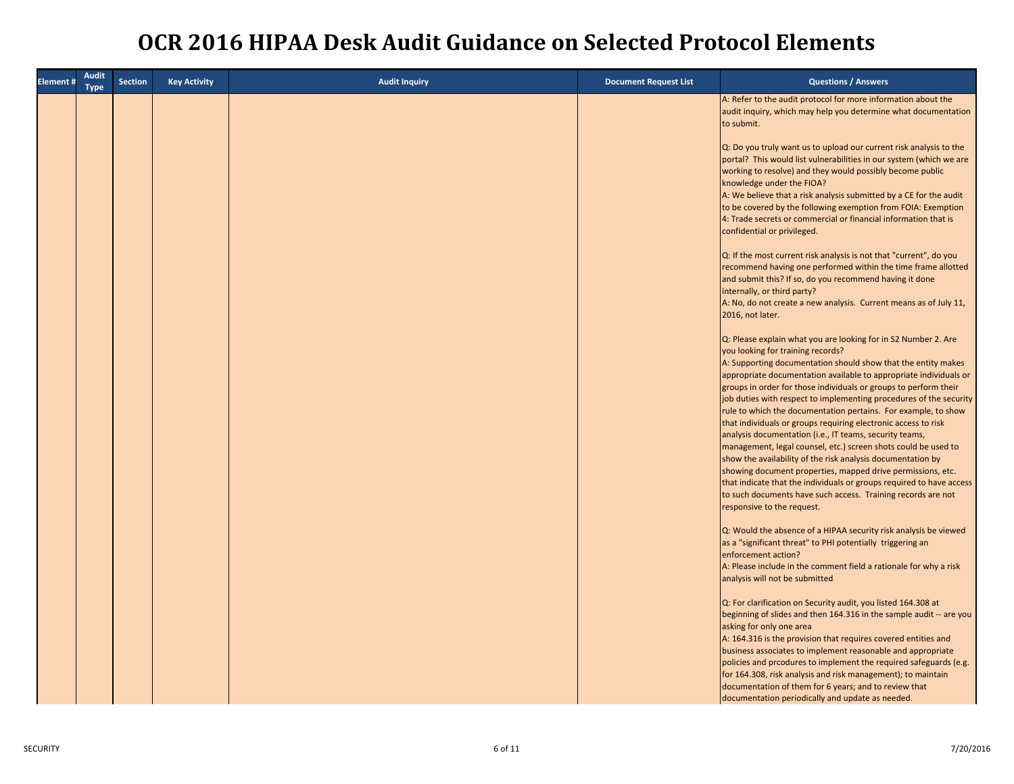| <b>Element#</b> | <b>Audit</b><br><b>Type</b> | <b>Section</b> | <b>Key Activity</b> | <b>Audit Inquiry</b> | <b>Document Request List</b> | <b>Questions / Answers</b>                                                                                                                                                                                                                                                                                                                                                                                                                                                                                                                                                                                                                                                                                                                                                                                                                                                                                                                               |
|-----------------|-----------------------------|----------------|---------------------|----------------------|------------------------------|----------------------------------------------------------------------------------------------------------------------------------------------------------------------------------------------------------------------------------------------------------------------------------------------------------------------------------------------------------------------------------------------------------------------------------------------------------------------------------------------------------------------------------------------------------------------------------------------------------------------------------------------------------------------------------------------------------------------------------------------------------------------------------------------------------------------------------------------------------------------------------------------------------------------------------------------------------|
|                 |                             |                |                     |                      |                              | A: Refer to the audit protocol for more information about the<br>audit inquiry, which may help you determine what documentation<br>to submit.                                                                                                                                                                                                                                                                                                                                                                                                                                                                                                                                                                                                                                                                                                                                                                                                            |
|                 |                             |                |                     |                      |                              | Q: Do you truly want us to upload our current risk analysis to the<br>portal? This would list vulnerabilities in our system (which we are<br>working to resolve) and they would possibly become public<br>knowledge under the FIOA?<br>A: We believe that a risk analysis submitted by a CE for the audit<br>to be covered by the following exemption from FOIA: Exemption<br>4: Trade secrets or commercial or financial information that is<br>confidential or privileged.                                                                                                                                                                                                                                                                                                                                                                                                                                                                             |
|                 |                             |                |                     |                      |                              | Q: If the most current risk analysis is not that "current", do you<br>recommend having one performed within the time frame allotted<br>and submit this? If so, do you recommend having it done<br>internally, or third party?                                                                                                                                                                                                                                                                                                                                                                                                                                                                                                                                                                                                                                                                                                                            |
|                 |                             |                |                     |                      |                              | A: No, do not create a new analysis. Current means as of July 11,<br>2016, not later.                                                                                                                                                                                                                                                                                                                                                                                                                                                                                                                                                                                                                                                                                                                                                                                                                                                                    |
|                 |                             |                |                     |                      |                              | Q: Please explain what you are looking for in S2 Number 2. Are<br>you looking for training records?<br>A: Supporting documentation should show that the entity makes<br>appropriate documentation available to appropriate individuals or<br>groups in order for those individuals or groups to perform their<br>job duties with respect to implementing procedures of the security<br>rule to which the documentation pertains. For example, to show<br>that individuals or groups requiring electronic access to risk<br>analysis documentation (i.e., IT teams, security teams,<br>management, legal counsel, etc.) screen shots could be used to<br>show the availability of the risk analysis documentation by<br>showing document properties, mapped drive permissions, etc.<br>that indicate that the individuals or groups required to have access<br>to such documents have such access. Training records are not<br>responsive to the request. |
|                 |                             |                |                     |                      |                              | Q: Would the absence of a HIPAA security risk analysis be viewed<br>as a "significant threat" to PHI potentially triggering an<br>enforcement action?<br>A: Please include in the comment field a rationale for why a risk<br>analysis will not be submitted                                                                                                                                                                                                                                                                                                                                                                                                                                                                                                                                                                                                                                                                                             |
|                 |                             |                |                     |                      |                              | Q: For clarification on Security audit, you listed 164.308 at<br>beginning of slides and then 164.316 in the sample audit -- are you<br>asking for only one area<br>A: 164.316 is the provision that requires covered entities and<br>business associates to implement reasonable and appropriate<br>policies and prcodures to implement the required safeguards (e.g.<br>for 164.308, risk analysis and risk management); to maintain<br>documentation of them for 6 years; and to review that<br>documentation periodically and update as needed.                                                                                                                                                                                                                                                                                                                                                                                                      |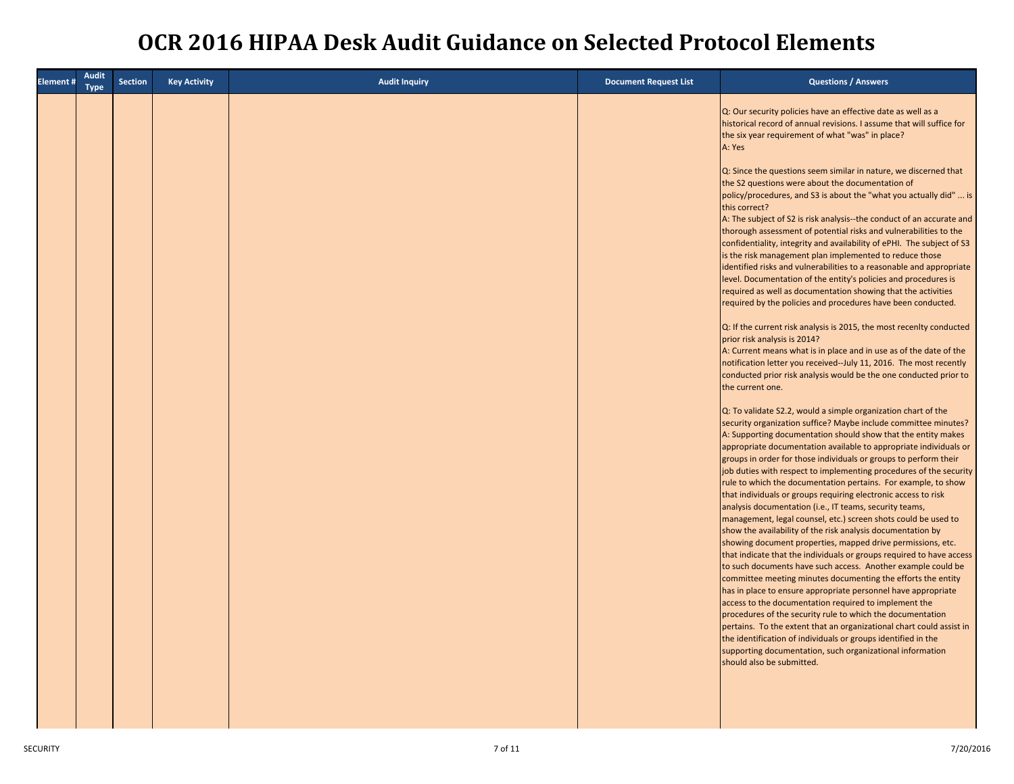| <b>Element#</b> | <b>Audit</b><br><b>Type</b> | <b>Section</b> | <b>Key Activity</b> | <b>Audit Inquiry</b> | <b>Document Request List</b> | <b>Questions / Answers</b>                                                                                                                                                                                                                                                                                                                                                                                                                                                                                                                                                                                                                                           |
|-----------------|-----------------------------|----------------|---------------------|----------------------|------------------------------|----------------------------------------------------------------------------------------------------------------------------------------------------------------------------------------------------------------------------------------------------------------------------------------------------------------------------------------------------------------------------------------------------------------------------------------------------------------------------------------------------------------------------------------------------------------------------------------------------------------------------------------------------------------------|
|                 |                             |                |                     |                      |                              | Q: Our security policies have an effective date as well as a<br>historical record of annual revisions. I assume that will suffice for<br>the six year requirement of what "was" in place?<br>A: Yes<br>Q: Since the questions seem similar in nature, we discerned that<br>the S2 questions were about the documentation of                                                                                                                                                                                                                                                                                                                                          |
|                 |                             |                |                     |                      |                              | policy/procedures, and S3 is about the "what you actually did"  is<br>this correct?<br>A: The subject of S2 is risk analysis--the conduct of an accurate and<br>thorough assessment of potential risks and vulnerabilities to the<br>confidentiality, integrity and availability of ePHI. The subject of S3<br>is the risk management plan implemented to reduce those<br>identified risks and vulnerabilities to a reasonable and appropriate<br>level. Documentation of the entity's policies and procedures is<br>required as well as documentation showing that the activities                                                                                   |
|                 |                             |                |                     |                      |                              | required by the policies and procedures have been conducted.<br>Q: If the current risk analysis is 2015, the most recenlty conducted<br>prior risk analysis is 2014?<br>A: Current means what is in place and in use as of the date of the<br>notification letter you received--July 11, 2016. The most recently<br>conducted prior risk analysis would be the one conducted prior to<br>the current one.                                                                                                                                                                                                                                                            |
|                 |                             |                |                     |                      |                              | Q: To validate S2.2, would a simple organization chart of the<br>security organization suffice? Maybe include committee minutes?<br>A: Supporting documentation should show that the entity makes<br>appropriate documentation available to appropriate individuals or<br>groups in order for those individuals or groups to perform their<br>job duties with respect to implementing procedures of the security<br>rule to which the documentation pertains. For example, to show<br>that individuals or groups requiring electronic access to risk<br>analysis documentation (i.e., IT teams, security teams,                                                      |
|                 |                             |                |                     |                      |                              | management, legal counsel, etc.) screen shots could be used to<br>show the availability of the risk analysis documentation by<br>showing document properties, mapped drive permissions, etc.<br>that indicate that the individuals or groups required to have access<br>to such documents have such access. Another example could be<br>committee meeting minutes documenting the efforts the entity<br>has in place to ensure appropriate personnel have appropriate<br>access to the documentation required to implement the<br>procedures of the security rule to which the documentation<br>pertains. To the extent that an organizational chart could assist in |
|                 |                             |                |                     |                      |                              | the identification of individuals or groups identified in the<br>supporting documentation, such organizational information<br>should also be submitted.                                                                                                                                                                                                                                                                                                                                                                                                                                                                                                              |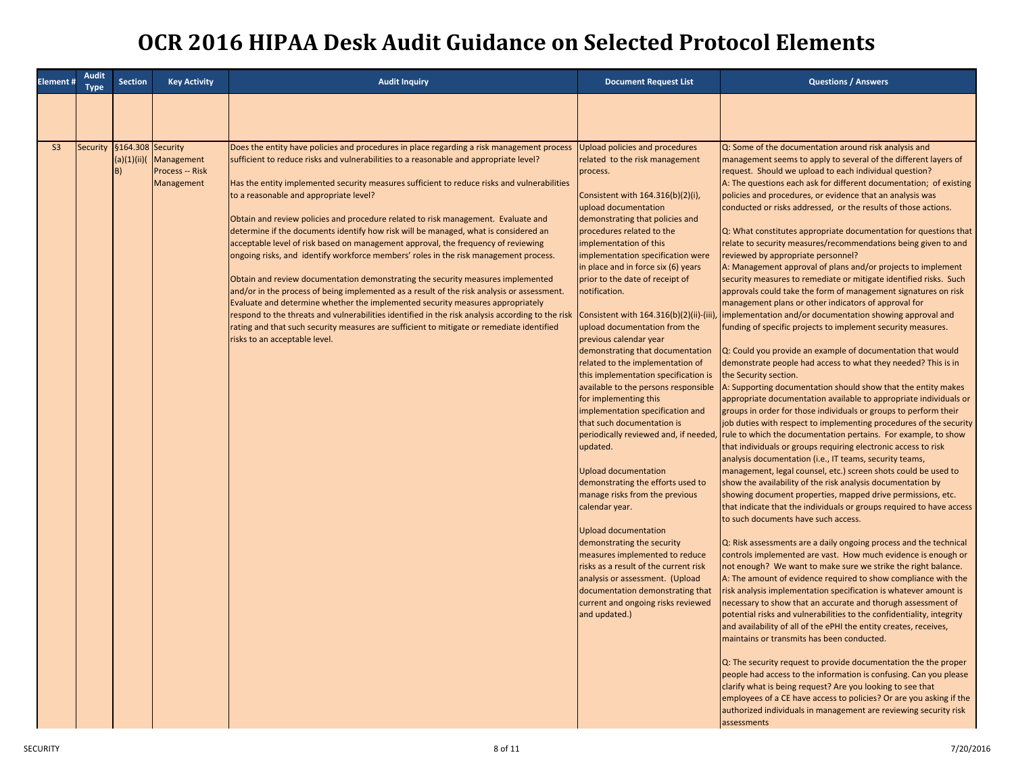| <b>Element#</b> | <b>Audit</b><br><b>Type</b> | <b>Section</b>                     | <b>Key Activity</b>                         | <b>Audit Inquiry</b>                                                                                                                                                                                                                                                                                                                                                                                                                                                                                                                                                                                                                                                                                                                                                                                                                                                                                                                                                                                                                                                                                                                                                                      | <b>Document Request List</b>                                                                                                                                                                                                                                                                                                                                                                                                                                                                                                                                                                                                                                                                                                                                                                                                                                                                                                                                                                                                                                                                                                                                                    | <b>Questions / Answers</b>                                                                                                                                                                                                                                                                                                                                                                                                                                                                                                                                                                                                                                                                                                                                                                                                                                                                                                                                                                                                                                                                                                                                                                                                                                                                                                                                                                                                                                                                                                                                                                                                                                                                                                                                                                                                                                                                                                                                                                                                                                                                                                                                                                                                                                                                                                                                                                                                                                                                                                                                                                                                                                                                                                                                                                                                                                                                     |
|-----------------|-----------------------------|------------------------------------|---------------------------------------------|-------------------------------------------------------------------------------------------------------------------------------------------------------------------------------------------------------------------------------------------------------------------------------------------------------------------------------------------------------------------------------------------------------------------------------------------------------------------------------------------------------------------------------------------------------------------------------------------------------------------------------------------------------------------------------------------------------------------------------------------------------------------------------------------------------------------------------------------------------------------------------------------------------------------------------------------------------------------------------------------------------------------------------------------------------------------------------------------------------------------------------------------------------------------------------------------|---------------------------------------------------------------------------------------------------------------------------------------------------------------------------------------------------------------------------------------------------------------------------------------------------------------------------------------------------------------------------------------------------------------------------------------------------------------------------------------------------------------------------------------------------------------------------------------------------------------------------------------------------------------------------------------------------------------------------------------------------------------------------------------------------------------------------------------------------------------------------------------------------------------------------------------------------------------------------------------------------------------------------------------------------------------------------------------------------------------------------------------------------------------------------------|------------------------------------------------------------------------------------------------------------------------------------------------------------------------------------------------------------------------------------------------------------------------------------------------------------------------------------------------------------------------------------------------------------------------------------------------------------------------------------------------------------------------------------------------------------------------------------------------------------------------------------------------------------------------------------------------------------------------------------------------------------------------------------------------------------------------------------------------------------------------------------------------------------------------------------------------------------------------------------------------------------------------------------------------------------------------------------------------------------------------------------------------------------------------------------------------------------------------------------------------------------------------------------------------------------------------------------------------------------------------------------------------------------------------------------------------------------------------------------------------------------------------------------------------------------------------------------------------------------------------------------------------------------------------------------------------------------------------------------------------------------------------------------------------------------------------------------------------------------------------------------------------------------------------------------------------------------------------------------------------------------------------------------------------------------------------------------------------------------------------------------------------------------------------------------------------------------------------------------------------------------------------------------------------------------------------------------------------------------------------------------------------------------------------------------------------------------------------------------------------------------------------------------------------------------------------------------------------------------------------------------------------------------------------------------------------------------------------------------------------------------------------------------------------------------------------------------------------------------------------------------------------|
|                 |                             |                                    |                                             |                                                                                                                                                                                                                                                                                                                                                                                                                                                                                                                                                                                                                                                                                                                                                                                                                                                                                                                                                                                                                                                                                                                                                                                           |                                                                                                                                                                                                                                                                                                                                                                                                                                                                                                                                                                                                                                                                                                                                                                                                                                                                                                                                                                                                                                                                                                                                                                                 |                                                                                                                                                                                                                                                                                                                                                                                                                                                                                                                                                                                                                                                                                                                                                                                                                                                                                                                                                                                                                                                                                                                                                                                                                                                                                                                                                                                                                                                                                                                                                                                                                                                                                                                                                                                                                                                                                                                                                                                                                                                                                                                                                                                                                                                                                                                                                                                                                                                                                                                                                                                                                                                                                                                                                                                                                                                                                                |
| S <sub>3</sub>  | Security                    | §164.308 Security<br>(a)(1)(ii)(b) | Management<br>Process -- Risk<br>Management | Does the entity have policies and procedures in place regarding a risk management process<br>sufficient to reduce risks and vulnerabilities to a reasonable and appropriate level?<br>Has the entity implemented security measures sufficient to reduce risks and vulnerabilities<br>to a reasonable and appropriate level?<br>Obtain and review policies and procedure related to risk management. Evaluate and<br>determine if the documents identify how risk will be managed, what is considered an<br>acceptable level of risk based on management approval, the frequency of reviewing<br>ongoing risks, and identify workforce members' roles in the risk management process.<br>Obtain and review documentation demonstrating the security measures implemented<br>and/or in the process of being implemented as a result of the risk analysis or assessment.<br>Evaluate and determine whether the implemented security measures appropriately<br>respond to the threats and vulnerabilities identified in the risk analysis according to the risk<br>rating and that such security measures are sufficient to mitigate or remediate identified<br>risks to an acceptable level. | Upload policies and procedures<br>related to the risk management<br>process.<br>Consistent with 164.316(b)(2)(i),<br>upload documentation<br>demonstrating that policies and<br>procedures related to the<br>implementation of this<br>implementation specification were<br>in place and in force six (6) years<br>prior to the date of receipt of<br>notification.<br>Consistent with 164.316(b)(2)(ii)-(iii)<br>upload documentation from the<br>previous calendar year<br>demonstrating that documentation<br>related to the implementation of<br>this implementation specification is<br>available to the persons responsible<br>for implementing this<br>implementation specification and<br>that such documentation is<br>periodically reviewed and, if needed,<br>updated.<br><b>Upload documentation</b><br>demonstrating the efforts used to<br>manage risks from the previous<br>calendar year.<br><b>Upload documentation</b><br>demonstrating the security<br>measures implemented to reduce<br>risks as a result of the current risk<br>analysis or assessment. (Upload<br>documentation demonstrating that<br>current and ongoing risks reviewed<br>and updated.) | Q: Some of the documentation around risk analysis and<br>management seems to apply to several of the different layers of<br>request. Should we upload to each individual question?<br>A: The questions each ask for different documentation; of existing<br>policies and procedures, or evidence that an analysis was<br>conducted or risks addressed, or the results of those actions.<br>Q: What constitutes appropriate documentation for questions that<br>relate to security measures/recommendations being given to and<br>reviewed by appropriate personnel?<br>A: Management approval of plans and/or projects to implement<br>security measures to remediate or mitigate identified risks. Such<br>approvals could take the form of management signatures on risk<br>management plans or other indicators of approval for<br>implementation and/or documentation showing approval and<br>funding of specific projects to implement security measures.<br>Q: Could you provide an example of documentation that would<br>demonstrate people had access to what they needed? This is in<br>the Security section.<br>A: Supporting documentation should show that the entity makes<br>appropriate documentation available to appropriate individuals or<br>groups in order for those individuals or groups to perform their<br>job duties with respect to implementing procedures of the security<br>rule to which the documentation pertains. For example, to show<br>that individuals or groups requiring electronic access to risk<br>analysis documentation (i.e., IT teams, security teams,<br>management, legal counsel, etc.) screen shots could be used to<br>show the availability of the risk analysis documentation by<br>showing document properties, mapped drive permissions, etc.<br>that indicate that the individuals or groups required to have access<br>to such documents have such access.<br>Q: Risk assessments are a daily ongoing process and the technical<br>controls implemented are vast. How much evidence is enough or<br>not enough? We want to make sure we strike the right balance.<br>A: The amount of evidence required to show compliance with the<br>risk analysis implementation specification is whatever amount is<br>necessary to show that an accurate and thorugh assessment of<br>potential risks and vulnerabilities to the confidentiality, integrity<br>and availability of all of the ePHI the entity creates, receives,<br>maintains or transmits has been conducted.<br>Q: The security request to provide documentation the the proper<br>people had access to the information is confusing. Can you please<br>clarify what is being request? Are you looking to see that<br>employees of a CE have access to policies? Or are you asking if the<br>authorized individuals in management are reviewing security risk<br>assessments |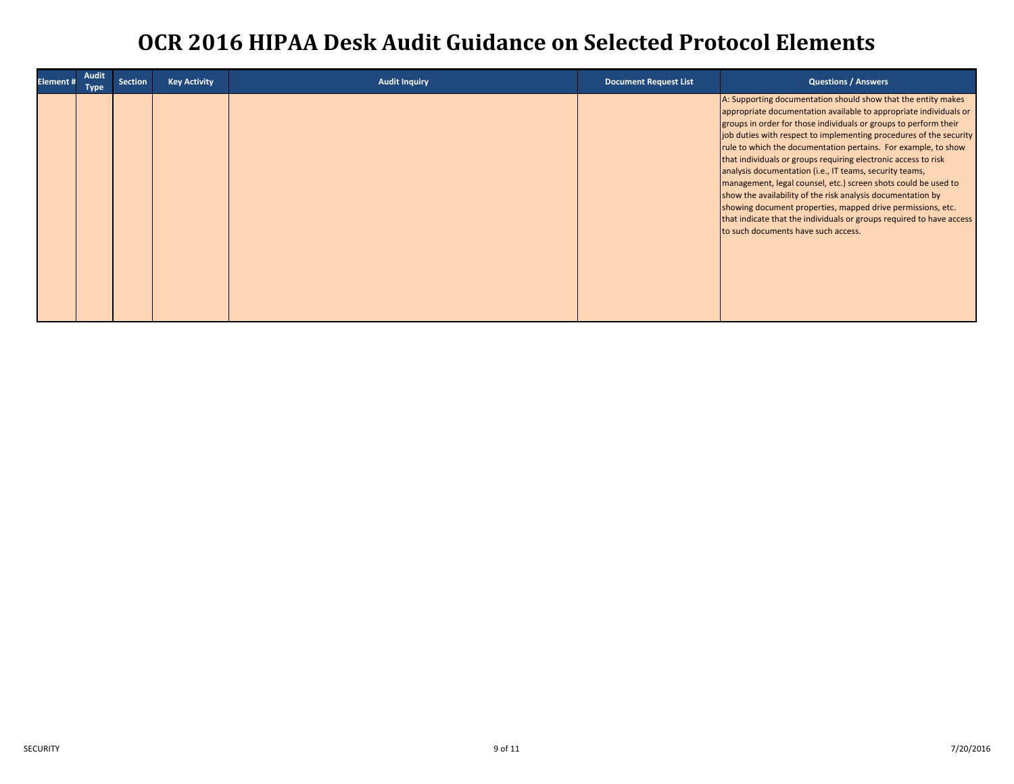| Element # | Audit<br><b>Type</b> | <b>Section</b> | <b>Key Activity</b> | <b>Audit Inquiry</b> | <b>Document Request List</b> | <b>Questions / Answers</b>                                                                                                                                                                                                                                                                                                                                                                                                                                                                                                                                                                                                                                                                                                                                                                 |
|-----------|----------------------|----------------|---------------------|----------------------|------------------------------|--------------------------------------------------------------------------------------------------------------------------------------------------------------------------------------------------------------------------------------------------------------------------------------------------------------------------------------------------------------------------------------------------------------------------------------------------------------------------------------------------------------------------------------------------------------------------------------------------------------------------------------------------------------------------------------------------------------------------------------------------------------------------------------------|
|           |                      |                |                     |                      |                              | A: Supporting documentation should show that the entity makes<br>appropriate documentation available to appropriate individuals or<br>groups in order for those individuals or groups to perform their<br>job duties with respect to implementing procedures of the security<br>rule to which the documentation pertains. For example, to show<br>that individuals or groups requiring electronic access to risk<br>analysis documentation (i.e., IT teams, security teams,<br>management, legal counsel, etc.) screen shots could be used to<br>show the availability of the risk analysis documentation by<br>showing document properties, mapped drive permissions, etc.<br>that indicate that the individuals or groups required to have access<br>to such documents have such access. |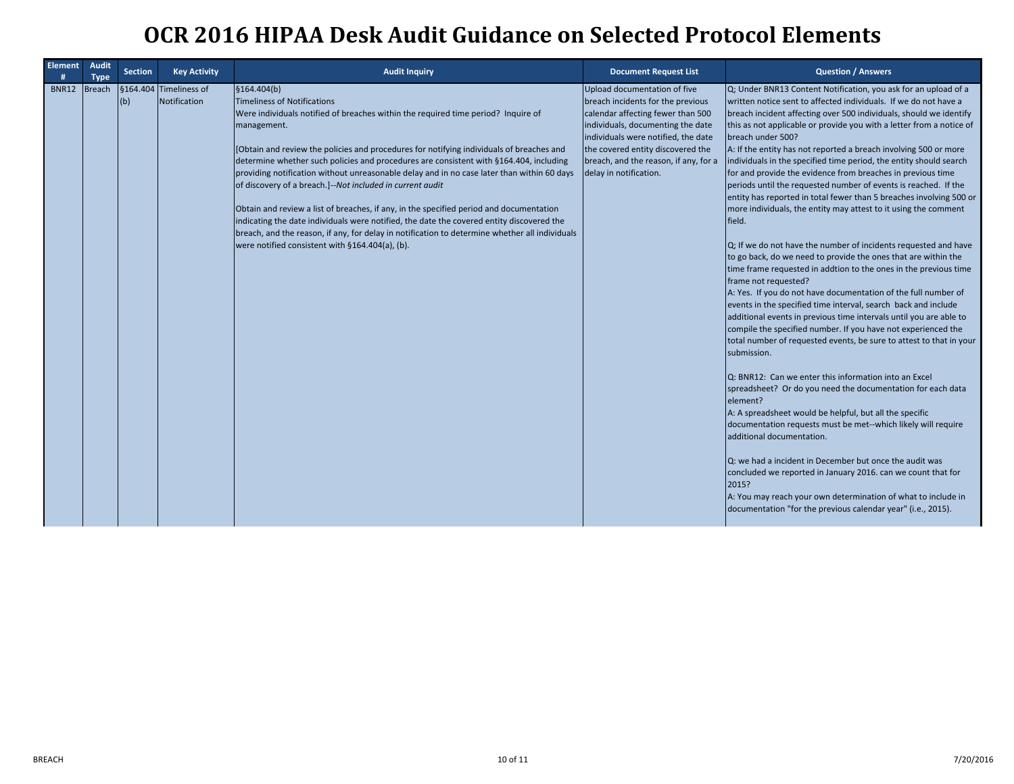| <b>Element</b> | <b>Audit</b><br><b>Type</b> | <b>Section</b> | <b>Key Activity</b>                    | <b>Audit Inquiry</b>                                                                                                                                                                                                                                                                                                                                                                                                                                                                                                                                                                                                                                                                                                                                                                                                                          | <b>Document Request List</b>                                                                                                                                                                                                                                                               | <b>Question / Answers</b>                                                                                                                                                                                                                                                                                                                                                                                                                                                                                                                                                                                                                                                                                                                                                                                                                                                                                                                                                                                                                                                                                                                                                                                                                                                                                                                                                                                                                                                                                                                                                                                                                                                                                                                                                                                                                                                                                  |
|----------------|-----------------------------|----------------|----------------------------------------|-----------------------------------------------------------------------------------------------------------------------------------------------------------------------------------------------------------------------------------------------------------------------------------------------------------------------------------------------------------------------------------------------------------------------------------------------------------------------------------------------------------------------------------------------------------------------------------------------------------------------------------------------------------------------------------------------------------------------------------------------------------------------------------------------------------------------------------------------|--------------------------------------------------------------------------------------------------------------------------------------------------------------------------------------------------------------------------------------------------------------------------------------------|------------------------------------------------------------------------------------------------------------------------------------------------------------------------------------------------------------------------------------------------------------------------------------------------------------------------------------------------------------------------------------------------------------------------------------------------------------------------------------------------------------------------------------------------------------------------------------------------------------------------------------------------------------------------------------------------------------------------------------------------------------------------------------------------------------------------------------------------------------------------------------------------------------------------------------------------------------------------------------------------------------------------------------------------------------------------------------------------------------------------------------------------------------------------------------------------------------------------------------------------------------------------------------------------------------------------------------------------------------------------------------------------------------------------------------------------------------------------------------------------------------------------------------------------------------------------------------------------------------------------------------------------------------------------------------------------------------------------------------------------------------------------------------------------------------------------------------------------------------------------------------------------------------|
| <b>BNR12</b>   | Breach                      | (b)            | §164.404 Timeliness of<br>Notification | \$164.404(b)<br>Timeliness of Notifications<br>Were individuals notified of breaches within the required time period? Inquire of<br>management.<br>[Obtain and review the policies and procedures for notifying individuals of breaches and<br>determine whether such policies and procedures are consistent with §164.404, including<br>providing notification without unreasonable delay and in no case later than within 60 days<br>of discovery of a breach.]--Not included in current audit<br>Obtain and review a list of breaches, if any, in the specified period and documentation<br>indicating the date individuals were notified, the date the covered entity discovered the<br>breach, and the reason, if any, for delay in notification to determine whether all individuals<br>were notified consistent with §164.404(a), (b). | Upload documentation of five<br>breach incidents for the previous<br>calendar affecting fewer than 500<br>individuals, documenting the date<br>individuals were notified, the date<br>the covered entity discovered the<br>breach, and the reason, if any, for a<br>delay in notification. | Q; Under BNR13 Content Notification, you ask for an upload of a<br>written notice sent to affected individuals. If we do not have a<br>breach incident affecting over 500 individuals, should we identify<br>this as not applicable or provide you with a letter from a notice of<br>breach under 500?<br>A: If the entity has not reported a breach involving 500 or more<br>individuals in the specified time period, the entity should search<br>for and provide the evidence from breaches in previous time<br>periods until the requested number of events is reached. If the<br>entity has reported in total fewer than 5 breaches involving 500 or<br>more individuals, the entity may attest to it using the comment<br>field.<br>Q; If we do not have the number of incidents requested and have<br>to go back, do we need to provide the ones that are within the<br>time frame requested in addtion to the ones in the previous time<br>frame not requested?<br>A: Yes. If you do not have documentation of the full number of<br>events in the specified time interval, search back and include<br>additional events in previous time intervals until you are able to<br>compile the specified number. If you have not experienced the<br>total number of requested events, be sure to attest to that in your<br>submission.<br>Q: BNR12: Can we enter this information into an Excel<br>spreadsheet? Or do you need the documentation for each data<br>element?<br>A: A spreadsheet would be helpful, but all the specific<br>documentation requests must be met--which likely will require<br>additional documentation.<br>Q: we had a incident in December but once the audit was<br>concluded we reported in January 2016. can we count that for<br>2015?<br>A: You may reach your own determination of what to include in<br>documentation "for the previous calendar year" (i.e., 2015). |